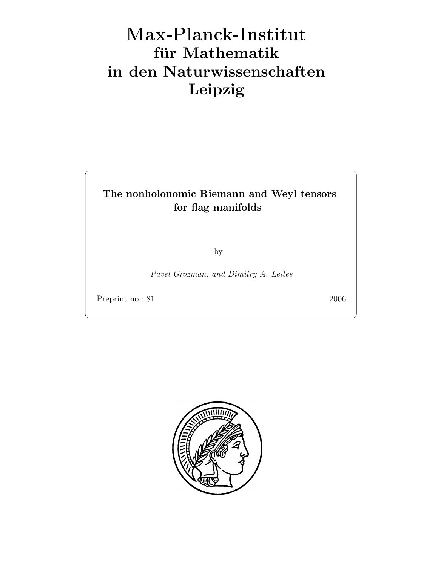# Max-Plan
k-Institut für Mathematik in den Naturwissenschaften Leipzig

# The nonholonomic Riemann and Weyl tensors for flag manifolds

by

Pavel Grozman, and Dimitry A. Leites

Preprint no.: 81 2006

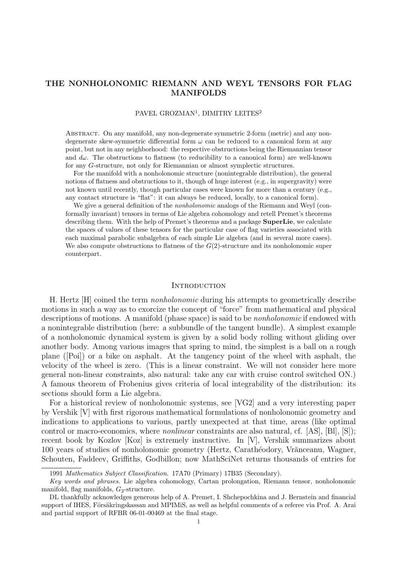# THE NONHOLONOMIC RIEMANN AND WEYL TENSORS FOR FLAG MANIFOLDS

## PAVEL GROZMAN<sup>1</sup>, DIMITRY LEITES<sup>2</sup>

Abstract. On any manifold, any non-degenerate symmetric 2-form (metric) and any nondegenerate skew-symmetric differential form  $\omega$  can be reduced to a canonical form at any point, but not in any neighborhood: the respective obstructions being the Riemannian tensor and  $d\omega$ . The obstructions to flatness (to reducibility to a canonical form) are well-known for any G-structure, not only for Riemannian or almost symplectic structures.

For the manifold with a nonholonomic structure (nonintegrable distribution), the general notions of flatness and obstructions to it, though of huge interest (e.g., in supergravity) were not known until recently, though particular cases were known for more than a century (e.g., any contact structure is "flat": it can always be reduced, locally, to a canonical form).

We give a general definition of the *nonholonomic* analogs of the Riemann and Weyl (conformally invariant) tensors in terms of Lie algebra cohomology and retell Premet's theorems describing them. With the help of Premet's theorems and a package **SuperLie**, we calculate the spaces of values of these tensors for the particular case of flag varieties associated with each maximal parabolic subalgebra of each simple Lie algebra (and in several more cases). We also compute obstructions to flatness of the  $G(2)$ -structure and its nonholonomic super counterpart.

#### **INTRODUCTION**

H. Hertz [H] coined the term nonholonomic during his attempts to geometrically describe motions in such a way as to exorcize the concept of "force" from mathematical and physical descriptions of motions. A manifold (phase space) is said to be *nonholonomic* if endowed with a nonintegrable distribution (here: a subbundle of the tangent bundle). A simplest example of a nonholonomic dynamical system is given by a solid body rolling without gliding over another body. Among various images that spring to mind, the simplest is a ball on a rough plane ([Poi]) or a bike on asphalt. At the tangency point of the wheel with asphalt, the velocity of the wheel is zero. (This is a linear constraint. We will not consider here more general non-linear constraints, also natural: take any car with cruise control switched ON.) A famous theorem of Frobenius gives criteria of local integrability of the distribution: its sections should form a Lie algebra.

For a historical review of nonholonomic systems, see [VG2] and a very interesting paper by Vershik [V] with first rigorous mathematical formulations of nonholonomic geometry and indications to applications to various, partly unexpected at that time, areas (like optimal control or macro-economics, where *nonlinear* constraints are also natural, cf. [AS], [Bl], [S]); recent book by Kozlov [Koz] is extremely instructive. In [V], Vershik summarizes about 100 years of studies of nonholonomic geometry (Hertz, Carathéodory, Vrănceanu, Wagner, Schouten, Faddeev, Griffiths, Godbillon; now MathSciNet returns thousands of entries for

<sup>1991</sup> Mathematics Subject Classification. 17A70 (Primary) 17B35 (Secondary).

Key words and phrases. Lie algebra cohomology, Cartan prolongation, Riemann tensor, nonholonomic manifold, flag manifolds,  $G_2$ -structure.

DL thankfully acknowledges generous help of A. Premet, I. Shchepochkina and J. Bernstein and financial support of IHES, Försäkringskassan and MPIMiS, as well as helpful comments of a referee via Prof. A. Arai and partial support of RFBR 06-01-00469 at the final stage.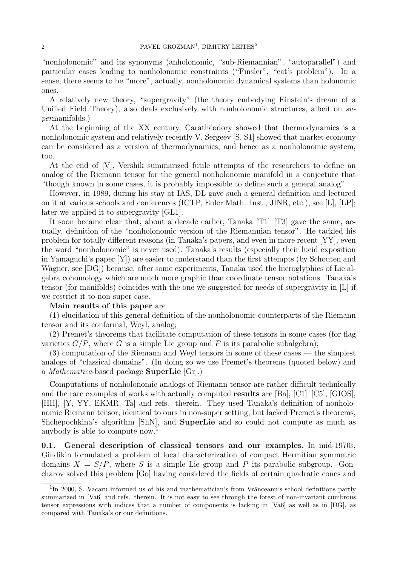"nonholonomic" and its synonyms (anholonomic, "sub-Riemannian", "autoparallel") and particular cases leading to nonholonomic constraints ("Finsler", "cat's problem"). In a sense, there seems to be "more", actually, nonholonomic dynamical systems than holonomic ones.

A relatively new theory, "supergravity" (the theory embodying Einstein's dream of a Unified Field Theory), also deals exclusively with nonholonomic structures, albeit on supermanifolds.)

At the beginning of the XX century, Carathéodory showed that thermodynamics is a nonholonomic system and relatively recently V. Sergeev [S, S1] showed that market economy can be considered as a version of thermodynamics, and hence as a nonholonomic system, too.

At the end of [V], Vershik summarized futile attempts of the researchers to define an analog of the Riemann tensor for the general nonholonomic manifold in a conjecture that "though known in some cases, it is probably impossible to define such a general analog".

However, in 1989, during his stay at IAS, DL gave such a general definition and lectured on it at various schools and conferences (ICTP, Euler Math. Inst., JINR, etc.), see [L], [LP]; later we applied it to supergravity [GL1].

It soon became clear that, about a decade earlier, Tanaka [T1]–[T3] gave the same, actually, definition of the "nonholonomic version of the Riemannian tensor". He tackled his problem for totally different reasons (in Tanaka's papers, and even in more recent [YY], even the word "nonholonomic" is never used). Tanaka's results (especially their lucid exposition in Yamaguchi's paper [Y]) are easier to understand than the first attempts (by Schouten and Wagner, see [DG]) because, after some experiments, Tanaka used the hieroglyphics of Lie algebra cohomology which are much more graphic than coordinate tensor notations. Tanaka's tensor (for manifolds) coincides with the one we suggested for needs of supergravity in [L] if we restrict it to non-super case.

#### Main results of this paper are

(1) elucidation of this general definition of the nonholonomic counterparts of the Riemann tensor and its conformal, Weyl, analog;

(2) Premet's theorems that facilitate computation of these tensors in some cases (for flag varieties  $G/P$ , where G is a simple Lie group and P is its parabolic subalgebra);

(3) computation of the Riemann and Weyl tensors in some of these cases — the simplest analogs of "classical domains". (In doing so we use Premet's theorems (quoted below) and a Mathematica-based package SuperLie [Gr].)

Computations of nonholonomic analogs of Riemann tensor are rather difficult technically and the rare examples of works with actually computed results are [Ba], [C1]–[C5], [GIOS], [HH], [Y, YY, EKMR, Ta] and refs. therein. They used Tanaka's definition of nonholonomic Riemann tensor, identical to ours in non-super setting, but lacked Premet's theorems, Shchepochkina's algorithm [ShN], and SuperLie and so could not compute as much as anybody is able to compute now.<sup>1</sup>

0.1. General description of classical tensors and our examples. In mid-1970s, Gindikin formulated a problem of local characterization of compact Hermitian symmetric domains  $X = S/P$ , where S is a simple Lie group and P its parabolic subgroup. Goncharov solved this problem [Go] having considered the fields of certain quadratic cones and

<sup>&</sup>lt;sup>1</sup>In 2000, S. Vacaru informed us of his and mathematician's from Vrănceanu's school definitions partly summarized in [Va6] and refs. therein. It is not easy to see through the forest of non-invariant cumbrous tensor expressions with indices that a number of components is lacking in [Va6] as well as in [DG], as compared with Tanaka's or our definitions.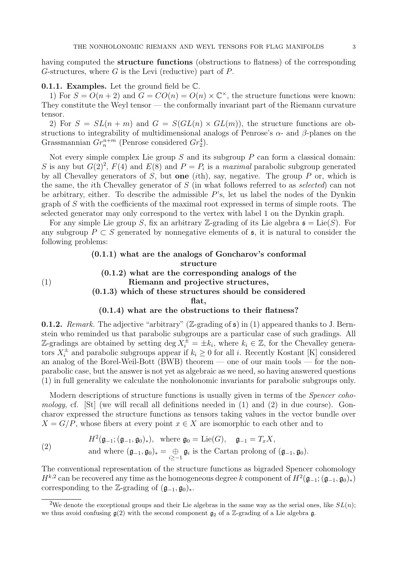having computed the **structure functions** (obstructions to flatness) of the corresponding G-structures, where  $G$  is the Levi (reductive) part of  $P$ .

#### **0.1.1. Examples.** Let the ground field be  $\mathbb{C}$ .

(1)

1) For  $S = O(n+2)$  and  $G = CO(n) = O(n) \times \mathbb{C}^{\times}$ , the structure functions were known: They constitute the Weyl tensor — the conformally invariant part of the Riemann curvature tensor.

2) For  $S = SL(n+m)$  and  $G = S(GL(n) \times GL(m))$ , the structure functions are obstructions to integrability of multidimensional analogs of Penrose's  $\alpha$ - and  $\beta$ -planes on the Grassmannian  $Gr_n^{n+m}$  (Penrose considered  $Gr_2^4$ ).

Not every simple complex Lie group  $S$  and its subgroup  $P$  can form a classical domain: S is any but  $G(2)^2$ ,  $F(4)$  and  $E(8)$  and  $P = P_i$  is a maximal parabolic subgroup generated by all Chevalley generators of S, but one (ith), say, negative. The group  $P$  or, which is the same, the ith Chevalley generator of S (in what follows referred to as selected) can not be arbitrary, either. To describe the admissible  $P$ 's, let us label the nodes of the Dynkin graph of S with the coefficients of the maximal root expressed in terms of simple roots. The selected generator may only correspond to the vertex with label 1 on the Dynkin graph.

For any simple Lie group S, fix an arbitrary Z-grading of its Lie algebra  $\mathfrak{s} = \text{Lie}(S)$ . For any subgroup  $P \subset S$  generated by nonnegative elements of  $\mathfrak{s}$ , it is natural to consider the following problems:

# (0.1.1) what are the analogs of Goncharov's conformal structure (0.1.2) what are the corresponding analogs of the Riemann and projective structures, (0.1.3) which of these structures should be considered flat,

#### (0.1.4) what are the obstructions to their flatness?

**0.1.2.** Remark. The adjective "arbitrary" (Z-grading of  $\mathfrak{s}$ ) in (1) appeared thanks to J. Bernstein who reminded us that parabolic subgroups are a particular case of such gradings. All Z-gradings are obtained by setting deg  $X_i^{\pm} = \pm k_i$ , where  $k_i \in \mathbb{Z}$ , for the Chevalley generators  $X_i^{\pm}$  and parabolic subgroups appear if  $k_i \geq 0$  for all i. Recently Kostant [K] considered an analog of the Borel-Weil-Bott (BWB) theorem — one of our main tools — for the nonparabolic case, but the answer is not yet as algebraic as we need, so having answered questions (1) in full generality we calculate the nonholonomic invariants for parabolic subgroups only.

Modern descriptions of structure functions is usually given in terms of the *Spencer coho*mology, cf. [St] (we will recall all definitions needed in (1) and (2) in due course). Goncharov expressed the structure functions as tensors taking values in the vector bundle over  $X = G/P$ , whose fibers at every point  $x \in X$  are isomorphic to each other and to

(2) 
$$
H^2(\mathfrak{g}_{-1}; (\mathfrak{g}_{-1}, \mathfrak{g}_0)_*), \text{ where } \mathfrak{g}_0 = \text{Lie}(G), \quad \mathfrak{g}_{-1} = T_x X,
$$
  
and where  $(\mathfrak{g}_{-1}, \mathfrak{g}_0)_* = \bigoplus_{i \geq -1} \mathfrak{g}_i$  is the Cartan prolong of  $(\mathfrak{g}_{-1}, \mathfrak{g}_0)$ .

The conventional representation of the structure functions as bigraded Spencer cohomology  $H^{k,2}$  can be recovered any time as the homogeneous degree k component of  $H^2(\mathfrak{g}_{-1}; (\mathfrak{g}_{-1}, \mathfrak{g}_{0})_*)$ corresponding to the Z-grading of  $(\mathfrak{g}_{-1}, \mathfrak{g}_0)_*.$ 

<sup>&</sup>lt;sup>2</sup>We denote the exceptional groups and their Lie algebras in the same way as the serial ones, like  $SL(n)$ ; we thus avoid confusing  $g(2)$  with the second component  $g_2$  of a Z-grading of a Lie algebra g.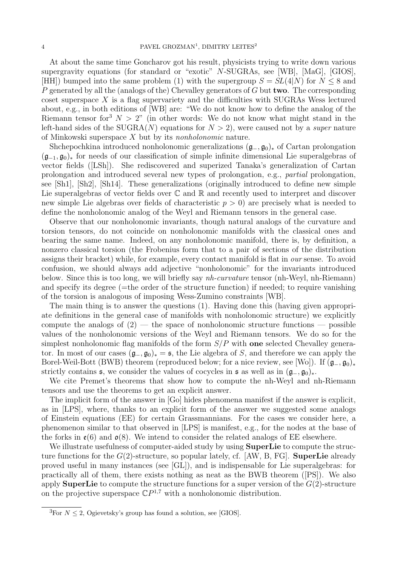At about the same time Goncharov got his result, physicists trying to write down various supergravity equations (for standard or "exotic" N-SUGRAs, see [WB], [MaG], [GIOS], [HH]) bumped into the same problem (1) with the supergroup  $S = SL(4|N)$  for  $N \leq 8$  and P generated by all the (analogs of the) Chevalley generators of G but **two**. The corresponding coset superspace  $X$  is a flag supervariety and the difficulties with SUGRAs Wess lectured about, e.g., in both editions of [WB] are: "We do not know how to define the analog of the Riemann tensor for  $N > 2$ " (in other words: We do not know what might stand in the left-hand sides of the SUGRA(N) equations for  $N > 2$ , were caused not by a *super* nature of Minkowski superspace X but by its nonholonomic nature.

Shchepochkina introduced nonholonomic generalizations  $(\mathfrak{g}_-,\mathfrak{g}_0)_*$  of Cartan prolongation  $(\mathfrak{g}_{-1}, \mathfrak{g}_0)_*$  for needs of our classification of simple infinite dimensional Lie superalgebras of vector fields ([LSh]). She rediscovered and superized Tanaka's generalization of Cartan prolongation and introduced several new types of prolongation, e.g., partial prolongation, see [Sh1], [Sh2], [Sh14]. These generalizations (originally introduced to define new simple Lie superalgebras of vector fields over  $\mathbb C$  and  $\mathbb R$  and recently used to interpret and discover new simple Lie algebras over fields of characteristic  $p > 0$ ) are precisely what is needed to define the nonholonomic analog of the Weyl and Riemann tensors in the general case.

Observe that our nonholonomic invariants, though natural analogs of the curvature and torsion tensors, do not coincide on nonholonomic manifolds with the classical ones and bearing the same name. Indeed, on any nonholonomic manifold, there is, by definition, a nonzero classical torsion (the Frobenius form that to a pair of sections of the distribution assigns their bracket) while, for example, every contact manifold is flat in our sense. To avoid confusion, we should always add adjective "nonholonomic" for the invariants introduced below. Since this is too long, we will briefly say nh-curvature tensor (nh-Weyl, nh-Riemann) and specify its degree  $(=$  the order of the structure function) if needed; to require vanishing of the torsion is analogous of imposing Wess-Zumino constraints [WB].

The main thing is to answer the questions (1). Having done this (having given appropriate definitions in the general case of manifolds with nonholonomic structure) we explicitly compute the analogs of  $(2)$  — the space of nonholonomic structure functions — possible values of the nonholonomic versions of the Weyl and Riemann tensors. We do so for the simplest nonholonomic flag manifolds of the form  $S/P$  with one selected Chevalley generator. In most of our cases  $(\mathfrak{g}_-, \mathfrak{g}_0)_* = \mathfrak{s}$ , the Lie algebra of S, and therefore we can apply the Borel-Weil-Bott (BWB) theorem (reproduced below; for a nice review, see [Wo]). If  $(\mathfrak{g}_{-}, \mathfrak{g}_{0})_{*}$ strictly contains  $\mathfrak{s}$ , we consider the values of cocycles in  $\mathfrak{s}$  as well as in  $(\mathfrak{g}_-, \mathfrak{g}_0)_*.$ 

We cite Premet's theorems that show how to compute the nh-Weyl and nh-Riemann tensors and use the theorems to get an explicit answer.

The implicit form of the answer in [Go] hides phenomena manifest if the answer is explicit, as in [LPS], where, thanks to an explicit form of the answer we suggested some analogs of Einstein equations (EE) for certain Grassmannians. For the cases we consider here, a phenomenon similar to that observed in [LPS] is manifest, e.g., for the nodes at the base of the forks in  $\mathfrak{e}(6)$  and  $\mathfrak{o}(8)$ . We intend to consider the related analogs of EE elsewhere.

We illustrate usefulness of computer-aided study by using **SuperLie** to compute the structure functions for the  $G(2)$ -structure, so popular lately, cf. [AW, B, FG]. **SuperLie** already proved useful in many instances (see [GL]), and is indispensable for Lie superalgebras: for practically all of them, there exists nothing as neat as the BWB theorem ([PS]). We also apply **SuperLie** to compute the structure functions for a super version of the  $G(2)$ -structure on the projective superspace  $\mathbb{C}P^{1,7}$  with a nonholonomic distribution.

<sup>&</sup>lt;sup>3</sup>For  $N < 2$ , Ogievetsky's group has found a solution, see [GIOS].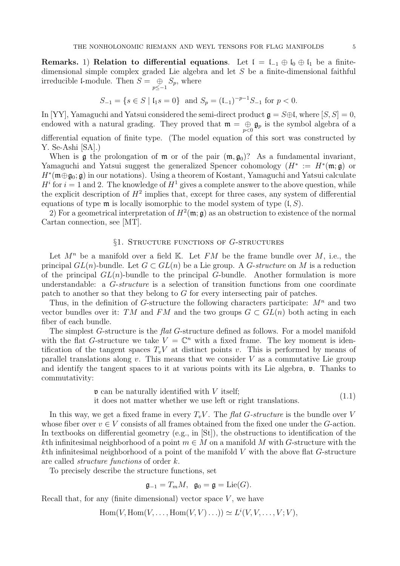Remarks. 1) Relation to differential equations. Let  $\mathfrak{l} = \mathfrak{l}_{-1} \oplus \mathfrak{l}_0 \oplus \mathfrak{l}_1$  be a finitedimensional simple complex graded Lie algebra and let S be a finite-dimensional faithful irreducible l-module. Then  $S = \bigoplus_{p \leq -1} S_p$ , where

$$
S_{-1} = \{ s \in S \mid \mathfrak{l}_1 s = 0 \} \text{ and } S_p = (\mathfrak{l}_{-1})^{-p-1} S_{-1} \text{ for } p < 0.
$$

In [YY], Yamaguchi and Yatsui considered the semi-direct product  $\mathfrak{g} = S \oplus \mathfrak{l}$ , where  $[S, S] = 0$ , endowed with a natural grading. They proved that  $\mathfrak{m} = \bigoplus_{p < 0} \mathfrak{g}_p$  is the symbol algebra of a

differential equation of finite type. (The model equation of this sort was constructed by Y. Se-Ashi [SA].)

When is **g** the prolongation of **m** or of the pair  $(\mathfrak{m}, \mathfrak{g}_0)$ ? As a fundamental invariant, Yamaguchi and Yatsui suggest the generalized Spencer cohomology  $(H^* := H^*(\mathfrak{m}; \mathfrak{g})$  or H<sup>∗</sup> (m⊕g0; g) in our notations). Using a theorem of Kostant, Yamaguchi and Yatsui calculate  $H^i$  for  $i = 1$  and 2. The knowledge of  $H^1$  gives a complete answer to the above question, while the explicit description of  $H^2$  implies that, except for three cases, any system of differential equations of type  $\mathfrak m$  is locally isomorphic to the model system of type  $(L, S)$ .

2) For a geometrical interpretation of  $H^2(\mathfrak{m}; \mathfrak{g})$  as an obstruction to existence of the normal Cartan connection, see [MT].

#### §1. STRUCTURE FUNCTIONS OF G-STRUCTURES

Let  $M^n$  be a manifold over a field K. Let FM be the frame bundle over M, i.e., the principal  $GL(n)$ -bundle. Let  $G \subset GL(n)$  be a Lie group. A G-structure on M is a reduction of the principal  $GL(n)$ -bundle to the principal G-bundle. Another formulation is more understandable: a G-structure is a selection of transition functions from one coordinate patch to another so that they belong to G for every intersecting pair of patches.

Thus, in the definition of G-structure the following characters participate:  $M^n$  and two vector bundles over it: TM and FM and the two groups  $G \subset GL(n)$  both acting in each fiber of each bundle.

The simplest G-structure is the *flat* G-structure defined as follows. For a model manifold with the flat G-structure we take  $V = \mathbb{C}^n$  with a fixed frame. The key moment is identification of the tangent spaces  $T_vV$  at distinct points v. This is performed by means of parallel translations along v. This means that we consider  $V$  as a commutative Lie group and identify the tangent spaces to it at various points with its Lie algebra,  $\mathfrak{v}$ . Thanks to commutativity:

$$
\mathfrak{v} \text{ can be naturally identified with } V \text{ itself};
$$
\nit does not matter whether we use left or right translations.

\n
$$
(1.1)
$$

In this way, we get a fixed frame in every  $T_vV$ . The flat G-structure is the bundle over V whose fiber over  $v \in V$  consists of all frames obtained from the fixed one under the G-action. In textbooks on differential geometry (e.g., in [St]), the obstructions to identification of the kth infinitesimal neighborhood of a point  $m \in M$  on a manifold M with G-structure with the  $k$ th infinitesimal neighborhood of a point of the manifold  $V$  with the above flat  $G$ -structure are called structure functions of order k.

To precisely describe the structure functions, set

$$
\mathfrak{g}_{-1}=T_mM, \ \ \mathfrak{g}_0=\mathfrak{g}=\mathrm{Lie}(G).
$$

Recall that, for any (finite dimensional) vector space  $V$ , we have

$$
\operatorname{Hom}(V, \operatorname{Hom}(V, \ldots, \operatorname{Hom}(V, V) \ldots)) \simeq L^{i}(V, V, \ldots, V; V),
$$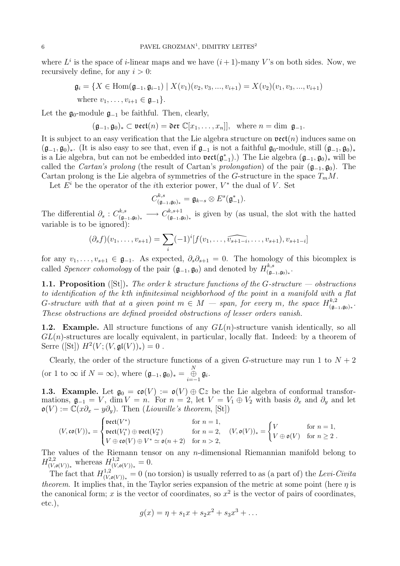where  $L^i$  is the space of *i*-linear maps and we have  $(i + 1)$ -many V's on both sides. Now, we recursively define, for any  $i > 0$ :

$$
\mathfrak{g}_i = \{ X \in \text{Hom}(\mathfrak{g}_{-1}, \mathfrak{g}_{i-1}) \mid X(v_1)(v_2, v_3, ..., v_{i+1}) = X(v_2)(v_1, v_3, ..., v_{i+1})
$$
  
where  $v_1, ..., v_{i+1} \in \mathfrak{g}_{-1} \}.$ 

Let the  $\mathfrak{g}_0$ -module  $\mathfrak{g}_{-1}$  be faithful. Then, clearly,

$$
(\mathfrak{g}_{-1}, \mathfrak{g}_0)_* \subset \text{vect}(n) = \text{Der } \mathbb{C}[x_1, \ldots, x_n]], \text{ where } n = \dim \mathfrak{g}_{-1}.
$$

It is subject to an easy verification that the Lie algebra structure on  $\text{vect}(n)$  induces same on  $(\mathfrak{g}_{-1}, \mathfrak{g}_0)_*$ . (It is also easy to see that, even if  $\mathfrak{g}_{-1}$  is not a faithful  $\mathfrak{g}_0$ -module, still  $(\mathfrak{g}_{-1}, \mathfrak{g}_0)_*$ is a Lie algebra, but can not be embedded into  $\text{vect}(\mathfrak{g}_{-1}^*).$  The Lie algebra  $(\mathfrak{g}_{-1}, \mathfrak{g}_0)_*$  will be called the *Cartan's prolong* (the result of Cartan's *prolongation*) of the pair  $(g_{-1}, g_0)$ . The Cartan prolong is the Lie algebra of symmetries of the G-structure in the space  $T_mM$ .

Let  $E^i$  be the operator of the *i*<sup>th</sup> exterior power,  $V^*$  the dual of V. Set

$$
C^{k,s}_{(\mathfrak{g}_{-1},\mathfrak{g}_0)_*}=\mathfrak{g}_{k-s}\otimes E^s(\mathfrak{g}_{-1}^*).
$$

The differential  $\partial_s: C^{k,s}_{(a)}$  $\begin{array}{rccc} (k,s) & \longrightarrow & C^{k,s+1} & \ (\mathfrak{g}_{-1},\mathfrak{g}_{0})_{*} & \longrightarrow & C^{k,s+1} & \ \end{array}$  $\binom{\kappa, s+1}{(\mathfrak{g}_{-1}, \mathfrak{g}_0)_*}$  is given by (as usual, the slot with the hatted variable is to be ignored):

$$
(\partial_s f)(v_1, \ldots, v_{s+1}) = \sum_i (-1)^i [f(v_1, \ldots, \widehat{v_{s+1-i}}, \ldots, v_{s+1}), v_{s+1-i}]
$$

for any  $v_1, \ldots, v_{s+1} \in \mathfrak{g}_{-1}$ . As expected,  $\partial_s \partial_{s+1} = 0$ . The homology of this bicomplex is called Spencer cohomology of the pair  $(\mathfrak{g}_{-1}, \mathfrak{g}_0)$  and denoted by  $H_{\mathfrak{g}}^{k,s}$  $\overset{\cdot \kappa, s}{_{(\mathfrak{g}_{-1}, \mathfrak{g}_0)_*}} \cdot$ 

**1.1. Proposition** ([St]). The order k structure functions of the G-structure — obstructions to identification of the kth infinitesimal neighborhood of the point in a manifold with a flat G-structure with that at a given point  $m \in M$  — span, for every m, the space  $H_{(q)}^{k,2}$  $\alpha^{k,2}(\mathfrak{g}_{-1},\mathfrak{g}_0)_*.$ These obstructions are defined provided obstructions of lesser orders vanish.

1.2. Example. All structure functions of any  $GL(n)$ -structure vanish identically, so all  $GL(n)$ -structures are locally equivalent, in particular, locally flat. Indeed: by a theorem of Serre ([St])  $H^2(V;(V,\mathfrak{gl}(V))_*)=0$ .

Clearly, the order of the structure functions of a given G-structure may run 1 to  $N + 2$ (or 1 to  $\infty$  if  $N = \infty$ ), where  $(\mathfrak{g}_{-1}, \mathfrak{g}_0)_* = \bigoplus_{i=-1}^N \mathfrak{g}_i$ .

**1.3. Example.** Let  $\mathfrak{g}_0 = \mathfrak{co}(V) := \mathfrak{o}(V) \oplus \mathbb{C}z$  be the Lie algebra of conformal transformations,  $\mathfrak{g}_{-1} = V$ , dim  $V = n$ . For  $n = 2$ , let  $V = V_1 \oplus V_2$  with basis  $\partial_x$  and  $\partial_y$  and let  $\mathfrak{o}(V) := \mathbb{C}(x\partial_x - y\partial_y)$ . Then (*Liouville's theorem*, [St])

$$
(V,\mathfrak{co}(V))_*=\begin{cases}\mathtt{vect}(V^*)\quad \ \ &\text{for }n=1,\\ \mathtt{vect}(V_1^*)\oplus\mathtt{vect}(V_2^*)\quad \ \ &\text{for }n=2,\quad (V,\mathfrak{o}(V))_*=\begin{cases}V\quad \ \ &\text{for }n=1,\\ V\oplus\mathfrak{o}(V)\quad \text{for }n\geq 2\end{cases}.
$$

The values of the Riemann tensor on any n-dimensional Riemannian manifold belong to  $H_{(V)}^{2,2}$  $U^{2,2}_{(V,\mathfrak{o}(V))_*}$  whereas  $H^{1,2}_{(V, V)}$  $\chi_{(V,\mathfrak{o}(V))_*}^{1,2}=0.$ 

The fact that  $H_{(V)}^{1,2}$  $(V_{(\mathcal{V},\mathfrak{o}(V))_*}^{\{1,2\}}=0$  (no torsion) is usually referred to as (a part of) the Levi-Civita theorem. It implies that, in the Taylor series expansion of the metric at some point (here  $\eta$  is the canonical form; x is the vector of coordinates, so  $x^2$  is the vector of pairs of coordinates, etc.),

$$
g(x) = \eta + s_1 x + s_2 x^2 + s_3 x^3 + \dots
$$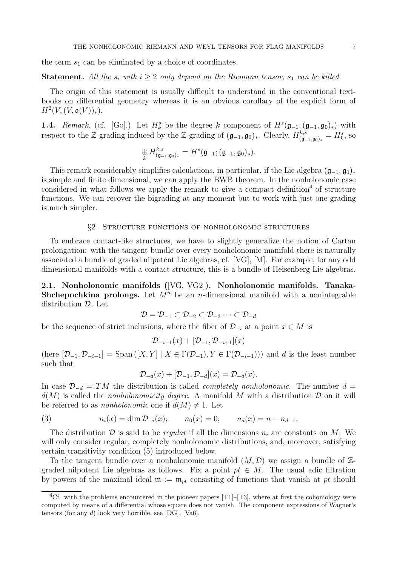the term  $s_1$  can be eliminated by a choice of coordinates.

**Statement.** All the  $s_i$  with  $i \geq 2$  only depend on the Riemann tensor;  $s_1$  can be killed.

The origin of this statement is usually difficult to understand in the conventional textbooks on differential geometry whereas it is an obvious corollary of the explicit form of  $H^2(V, (V, \mathfrak{o}(V))_*)$ .

**1.4.** Remark. (cf. [Go].) Let  $H_k^s$  be the degree k component of  $H^s(\mathfrak{g}_{-1}; (\mathfrak{g}_{-1}, \mathfrak{g}_0)_*)$  with respect to the Z-grading induced by the Z-grading of  $(\mathfrak{g}_{-1}, \mathfrak{g}_0)_*$ . Clearly,  $H_{\mathfrak{g}_{-1}}^{k,s}$  $\binom{k,s}{(\mathfrak{g}_{-1},\mathfrak{g}_0)_*} = H_k^s$ , so

$$
\underset{k}{\oplus} H^{k,s}_{(\mathfrak{g}_{-1},\mathfrak{g}_0)_*}=H^s(\mathfrak{g}_{-1};(\mathfrak{g}_{-1},\mathfrak{g}_0)_*).
$$

This remark considerably simplifies calculations, in particular, if the Lie algebra  $(\mathfrak{g}_{-1}, \mathfrak{g}_0)_*$ is simple and finite dimensional, we can apply the BWB theorem. In the nonholonomic case considered in what follows we apply the remark to give a compact definition<sup>4</sup> of structure functions. We can recover the bigrading at any moment but to work with just one grading is much simpler.

#### §2. Structure functions of nonholonomic structures

To embrace contact-like structures, we have to slightly generalize the notion of Cartan prolongation: with the tangent bundle over every nonholonomic manifold there is naturally associated a bundle of graded nilpotent Lie algebras, cf. [VG], [M]. For example, for any odd dimensional manifolds with a contact structure, this is a bundle of Heisenberg Lie algebras.

2.1. Nonholonomic manifolds ([VG, VG2]). Nonholonomic manifolds. Tanaka-**Shchepochkina prolongs.** Let  $M^n$  be an *n*-dimensional manifold with a nonintegrable distribution D. Let

$$
\mathcal{D} = \mathcal{D}_{-1} \subset \mathcal{D}_{-2} \subset \mathcal{D}_{-3} \cdots \subset \mathcal{D}_{-d}
$$

be the sequence of strict inclusions, where the fiber of  $\mathcal{D}_{-i}$  at a point  $x \in M$  is

$$
\mathcal{D}_{-i+1}(x) + [\mathcal{D}_{-1}, \mathcal{D}_{-i+1}](x)
$$

(here  $[\mathcal{D}_{-1}, \mathcal{D}_{-i-1}] = \text{Span}([X, Y] \mid X \in \Gamma(\mathcal{D}_{-1}), Y \in \Gamma(\mathcal{D}_{-i-1}))$ ) and d is the least number such that

$$
\mathcal{D}_{-d}(x) + [\mathcal{D}_{-1}, \mathcal{D}_{-d}](x) = \mathcal{D}_{-d}(x).
$$

In case  $\mathcal{D}_{-d} = TM$  the distribution is called *completely nonholonomic*. The number d =  $d(M)$  is called the *nonholonomicity degree*. A manifold M with a distribution  $D$  on it will be referred to as *nonholonomic* one if  $d(M) \neq 1$ . Let

(3) 
$$
n_i(x) = \dim \mathcal{D}_{-i}(x); \qquad n_0(x) = 0; \qquad n_d(x) = n - n_{d-1}.
$$

The distribution  $\mathcal D$  is said to be *regular* if all the dimensions  $n_i$  are constants on M. We will only consider regular, completely nonholonomic distributions, and, moreover, satisfying certain transitivity condition (5) introduced below.

To the tangent bundle over a nonholonomic manifold  $(M, \mathcal{D})$  we assign a bundle of  $\mathbb{Z}$ graded nilpotent Lie algebras as follows. Fix a point  $pt \in M$ . The usual adic filtration by powers of the maximal ideal  $\mathfrak{m} := \mathfrak{m}_{pt}$  consisting of functions that vanish at pt should

<sup>&</sup>lt;sup>4</sup>Cf. with the problems encountered in the pioneer papers [T1]–[T3], where at first the cohomology were computed by means of a differential whose square does not vanish. The component expressions of Wagner's tensors (for any d) look very horrible, see [DG], [Va6].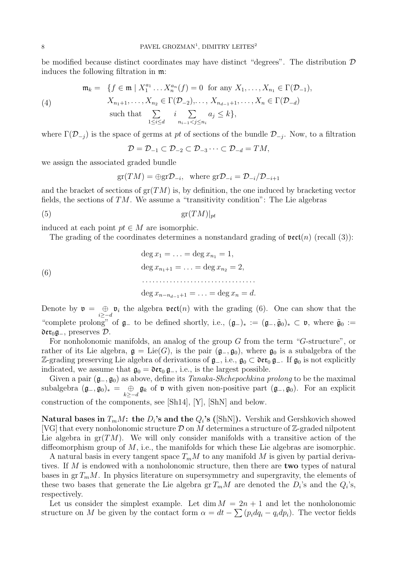be modified because distinct coordinates may have distinct "degrees". The distribution  $D$ induces the following filtration in m:

(4) 
$$
\mathfrak{m}_k = \{ f \in \mathfrak{m} \mid X_1^{a_1} \dots X_n^{a_n}(f) = 0 \text{ for any } X_1, \dots, X_{n_1} \in \Gamma(\mathcal{D}_{-1}),
$$

$$
X_{n_1+1}, \dots, X_{n_2} \in \Gamma(\mathcal{D}_{-2}), \dots, X_{n_{d-1}+1}, \dots, X_n \in \Gamma(\mathcal{D}_{-d})
$$

$$
\text{such that } \sum_{1 \le i \le d} i \sum_{n_{i-1} < j \le n_i} a_j \le k \},
$$

where  $\Gamma(\mathcal{D}_{-j})$  is the space of germs at pt of sections of the bundle  $\mathcal{D}_{-j}$ . Now, to a filtration

 $\mathcal{D} = \mathcal{D}_{-1} \subset \mathcal{D}_{-2} \subset \mathcal{D}_{-3} \cdots \subset \mathcal{D}_{-d} = TM$ ,

we assign the associated graded bundle

 $gr(TM) = \bigoplus grD_{-i}$ , where  $grD_{-i} = D_{-i}/D_{-i+1}$ 

and the bracket of sections of  $gr(TM)$  is, by definition, the one induced by bracketing vector fields, the sections of  $TM$ . We assume a "transitivity condition": The Lie algebras

(5) gr(TM)|pt

induced at each point  $pt \in M$  are isomorphic.

The grading of the coordinates determines a nonstandard grading of  $\text{vect}(n)$  (recall (3)):

(6)  
\n
$$
\deg x_1 = \dots = \deg x_{n_1} = 1,
$$
\n
$$
\deg x_{n_1+1} = \dots = \deg x_{n_2} = 2,
$$
\n
$$
\dots
$$
\n
$$
\deg x_{n-n_{d-1}+1} = \dots = \deg x_n = d.
$$

Denote by  $\mathfrak{v} = \bigoplus_{i \geq -d} \mathfrak{v}_i$  the algebra  $\mathfrak{vect}(n)$  with the grading (6). One can show that the "complete prolong" of  $\mathfrak{g}_-$  to be defined shortly, i.e.,  $(\mathfrak{g}_-)_* := (\mathfrak{g}_-,\tilde{\mathfrak{g}}_0)_* \subset \mathfrak{v}$ , where  $\tilde{\mathfrak{g}}_0 :=$  $\mathfrak{der}_0 \mathfrak{g}_-,$  preserves  $\mathcal{D}.$ 

For nonholonomic manifolds, an analog of the group  $G$  from the term " $G$ -structure", or rather of its Lie algebra,  $\mathfrak{g} = \text{Lie}(G)$ , is the pair  $(\mathfrak{g}_{-}, \mathfrak{g}_{0})$ , where  $\mathfrak{g}_{0}$  is a subalgebra of the Z-grading preserving Lie algebra of derivations of  $\mathfrak{g}_-,$  i.e.,  $\mathfrak{g}_0 \subset \mathfrak{der}_0 \mathfrak{g}_-$ . If  $\mathfrak{g}_0$  is not explicitly indicated, we assume that  $\mathfrak{g}_0 = \mathfrak{der}_0 \mathfrak{g}_-,$  i.e., is the largest possible.

Given a pair  $(\mathfrak{g}_-, \mathfrak{g}_0)$  as above, define its Tanaka-Shchepochkina prolong to be the maximal subalgebra  $(\mathfrak{g}_-,\mathfrak{g}_0)_* = \bigoplus_{k \geq -d} \mathfrak{g}_k$  of  $\mathfrak{v}$  with given non-positive part  $(\mathfrak{g}_-,\mathfrak{g}_0)$ . For an explicit construction of the components, see [Sh14], [Y], [ShN] and below.

Natural bases in  $T_mM$ : the  $D_i$ 's and the  $Q_i$ 's ([ShN]). Vershik and Gershkovich showed [VG] that every nonholonomic structure  $\mathcal D$  on M determines a structure of Z-graded nilpotent Lie algebra in  $gr(TM)$ . We will only consider manifolds with a transitive action of the diffeomorphism group of M, i.e., the manifolds for which these Lie algebras are isomorphic.

A natural basis in every tangent space  $T_mM$  to any manifold M is given by partial derivatives. If M is endowed with a nonholonomic structure, then there are **two** types of natural bases in  $gr T_mM$ . In physics literature on supersymmetry and supergravity, the elements of these two bases that generate the Lie algebra  $gr T_mM$  are denoted the  $D_i$ 's and the  $Q_i$ 's, respectively.

Let us consider the simplest example. Let  $\dim M = 2n + 1$  and let the nonholonomic structure on M be given by the contact form  $\alpha = dt - \sum (p_i dq_i - q_i dp_i)$ . The vector fields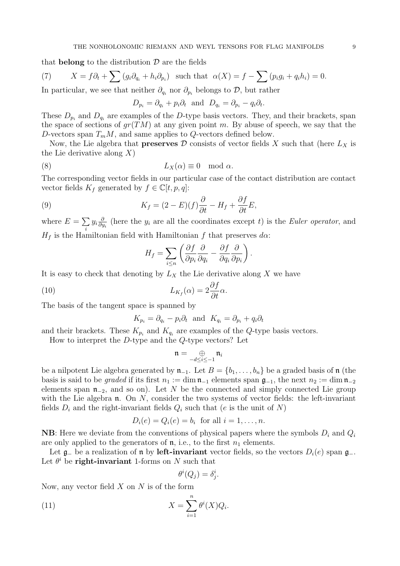that **belong** to the distribution  $\mathcal{D}$  are the fields

(7) 
$$
X = f\partial_t + \sum (g_i \partial_{q_i} + h_i \partial_{p_i}) \text{ such that } \alpha(X) = f - \sum (p_i g_i + q_i h_i) = 0.
$$

In particular, we see that neither  $\partial_{q_i}$  nor  $\partial_{p_i}$  belongs to D, but rather

$$
D_{p_i} = \partial_{q_i} + p_i \partial_t \text{ and } D_{q_i} = \partial_{p_i} - q_i \partial_t.
$$

These  $D_{p_i}$  and  $D_{q_i}$  are examples of the D-type basis vectors. They, and their brackets, span the space of sections of  $gr(TM)$  at any given point m. By abuse of speech, we say that the D-vectors span  $T_mM$ , and same applies to Q-vectors defined below.

Now, the Lie algebra that **preserves**  $\mathcal D$  consists of vector fields  $X$  such that (here  $L_X$  is the Lie derivative along  $X$ )

(8) 
$$
L_X(\alpha) \equiv 0 \mod \alpha.
$$

The corresponding vector fields in our particular case of the contact distribution are contact vector fields  $K_f$  generated by  $f \in \mathbb{C}[t,p,q]$ :

(9) 
$$
K_f = (2 - E)(f)\frac{\partial}{\partial t} - H_f + \frac{\partial f}{\partial t}E,
$$

where  $E = \sum$ i  $y_i\frac{\partial}{\partial n}$  $\frac{\partial}{\partial y_i}$  (here the  $y_i$  are all the coordinates except t) is the *Euler operator*, and  $H_f$  is the Hamiltonian field with Hamiltonian f that preserves  $d\alpha$ :

$$
H_f = \sum_{i \le n} \left( \frac{\partial f}{\partial p_i} \frac{\partial}{\partial q_i} - \frac{\partial f}{\partial q_i} \frac{\partial}{\partial p_i} \right).
$$

It is easy to check that denoting by  $L_X$  the Lie derivative along X we have

(10) 
$$
L_{K_f}(\alpha) = 2 \frac{\partial f}{\partial t} \alpha.
$$

The basis of the tangent space is spanned by

$$
K_{p_i} = \partial_{q_i} - p_i \partial_t \text{ and } K_{q_i} = \partial_{p_i} + q_i \partial_t
$$

and their brackets. These  $K_{p_i}$  and  $K_{q_i}$  are examples of the Q-type basis vectors.

How to interpret the D-type and the Q-type vectors? Let

$$
\mathfrak{n}=\bigoplus_{-d\leq i\leq -1}\mathfrak{n}_i
$$

be a nilpotent Lie algebra generated by  $\mathfrak{n}_{-1}$ . Let  $B = \{b_1, \ldots, b_n\}$  be a graded basis of  $\mathfrak{n}$  (the basis is said to be graded if its first  $n_1 := \dim \mathfrak{n}_{-1}$  elements span  $\mathfrak{g}_{-1}$ , the next  $n_2 := \dim \mathfrak{n}_{-2}$ elements span  $\mathfrak{n}_{-2}$ , and so on). Let N be the connected and simply connected Lie group with the Lie algebra  $\mathfrak n$ . On N, consider the two systems of vector fields: the left-invariant fields  $D_i$  and the right-invariant fields  $Q_i$  such that (e is the unit of N)

$$
D_i(e) = Q_i(e) = b_i \text{ for all } i = 1, \dots, n.
$$

**NB**: Here we deviate from the conventions of physical papers where the symbols  $D_i$  and  $Q_i$ are only applied to the generators of  $\mathfrak n$ , i.e., to the first  $n_1$  elements.

Let  $\mathfrak{g}_-$  be a realization of **n** by **left-invariant** vector fields, so the vectors  $D_i(e)$  span  $\mathfrak{g}_-$ . Let  $\theta^i$  be **right-invariant** 1-forms on N such that

$$
\theta^i(Q_j) = \delta^i_j.
$$

Now, any vector field  $X$  on  $N$  is of the form

(11) 
$$
X = \sum_{i=1}^{n} \theta^{i}(X) Q_{i}.
$$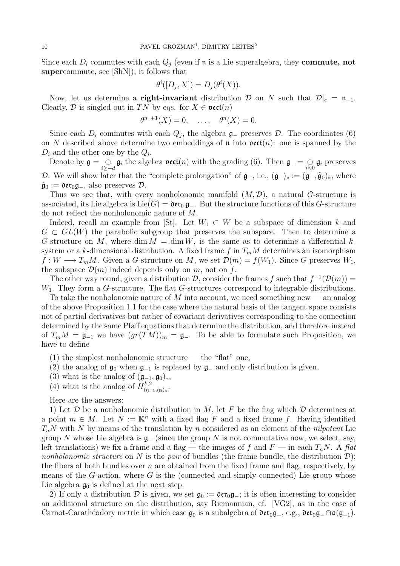Since each  $D_i$  commutes with each  $Q_j$  (even if **n** is a Lie superalgebra, they **commute**, not supercommute, see [ShN]), it follows that

$$
\theta^i([D_j, X]) = D_j(\theta^i(X)).
$$

Now, let us determine a **right-invariant** distribution  $D$  on N such that  $D|_e = \mathfrak{n}_{-1}$ . Clearly,  $D$  is singled out in TN by eqs. for  $X \in \text{vect}(n)$ 

$$
\theta^{n_1+1}(X)=0, \quad \ldots, \quad \theta^n(X)=0.
$$

Since each  $D_i$  commutes with each  $Q_j$ , the algebra  $\mathfrak{g}_-$  preserves  $\mathcal{D}$ . The coordinates (6) on N described above determine two embeddings of  $\mathfrak n$  into  $\mathfrak{vect}(n)$ : one is spanned by the  $D_i$  and the other one by the  $Q_i$ .

Denote by  $\mathfrak{g} = \bigoplus\limits_{i \geq -d} \mathfrak{g}_i$  the algebra  $\mathfrak{vect}(n)$  with the grading (6). Then  $\mathfrak{g}_- = \bigoplus\limits_{i < 0} \mathfrak{g}_i$  preserves D. We will show later that the "complete prolongation" of  $\mathfrak{g}_-,$  i.e.,  $(\mathfrak{g}_-)_* := (\mathfrak{g}_-,\tilde{\mathfrak{g}}_0)_*,$  where  $\tilde{\mathfrak{g}}_0 := \mathfrak{der}_{0} \mathfrak{g}_{-}$ , also preserves  $\mathcal{D}$ .

Thus we see that, with every nonholonomic manifold  $(M, \mathcal{D})$ , a natural G-structure is associated, its Lie algebra is Lie(G) =  $\mathfrak{der}_0 \mathfrak{g}_-$ . But the structure functions of this G-structure do not reflect the nonholonomic nature of M.

Indeed, recall an example from [St]. Let  $W_1 \subset W$  be a subspace of dimension k and  $G \subset GL(W)$  the parabolic subgroup that preserves the subspace. Then to determine a G-structure on M, where dim  $M = \dim W$ , is the same as to determine a differential ksystem or a k-dimensional distribution. A fixed frame f in  $T_mM$  determines an isomorphism  $f: W \longrightarrow T_mM$ . Given a G-structure on M, we set  $\mathcal{D}(m) = f(W_1)$ . Since G preserves  $W_1$ , the subspace  $\mathcal{D}(m)$  indeed depends only on m, not on f.

The other way round, given a distribution  $\mathcal{D}$ , consider the frames f such that  $f^{-1}(\mathcal{D}(m)) =$  $W_1$ . They form a G-structure. The flat G-structures correspond to integrable distributions.

To take the nonholonomic nature of M into account, we need something new — an analog of the above Proposition 1.1 for the case where the natural basis of the tangent space consists not of partial derivatives but rather of covariant derivatives corresponding to the connection determined by the same Pfaff equations that determine the distribution, and therefore instead of  $T_mM = \mathfrak{g}_{-1}$  we have  $(gr(TM))_m = \mathfrak{g}_-$ . To be able to formulate such Proposition, we have to define

- (1) the simplest nonholonomic structure the "flat" one,
- (2) the analog of  $\mathfrak{g}_0$  when  $\mathfrak{g}_{-1}$  is replaced by  $\mathfrak{g}_-$  and only distribution is given,
- (3) what is the analog of  $(\mathfrak{g}_{-1}, \mathfrak{g}_0)_*,$
- (4) what is the analog of  $H_{\mathfrak{a}}^{k,2}$  $\alpha^{k,2}(\mathfrak{g}_{-1},\mathfrak{g}_0)_*.$

Here are the answers:

1) Let  $\mathcal D$  be a nonholonomic distribution in M, let F be the flag which  $\mathcal D$  determines at a point  $m \in M$ . Let  $N := \mathbb{K}^n$  with a fixed flag F and a fixed frame f. Having identified  $T_nN$  with N by means of the translation by n considered as an element of the nilpotent Lie group N whose Lie algebra is  $\mathfrak{g}_-$  (since the group N is not commutative now, we select, say, left translations) we fix a frame and a flag — the images of f and  $F$  — in each  $T_nN$ . A flat nonholonomic structure on N is the pair of bundles (the frame bundle, the distribution  $\mathcal{D}$ ); the fibers of both bundles over  $n$  are obtained from the fixed frame and flag, respectively, by means of the  $G$ -action, where  $G$  is the (connected and simply connected) Lie group whose Lie algebra  $\mathfrak{g}_0$  is defined at the next step.

2) If only a distribution D is given, we set  $\mathfrak{g}_0 := \mathfrak{der}_0 \mathfrak{g}_-$ ; it is often interesting to consider an additional structure on the distribution, say Riemannian, cf. [VG2], as in the case of Carnot-Carathéodory metric in which case  $\mathfrak{g}_0$  is a subalgebra of  $\mathfrak{der}_0\mathfrak{g}_-, e.g., \mathfrak{der}_0\mathfrak{g}_-\cap \mathfrak{o}(\mathfrak{g}_{-1}).$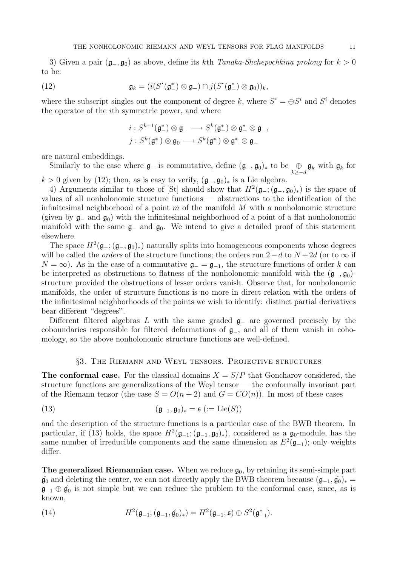3) Given a pair  $(\mathfrak{g}_-, \mathfrak{g}_0)$  as above, define its kth Tanaka-Shchepochkina prolong for  $k > 0$ to be:

(12) 
$$
\mathfrak{g}_k = (i(S^{\bullet}(\mathfrak{g}_{-}^*) \otimes \mathfrak{g}_{-}) \cap j(S^{\bullet}(\mathfrak{g}_{-}^*) \otimes \mathfrak{g}_{0}))_k,
$$

where the subscript singles out the component of degree k, where  $S^* = \bigoplus S^i$  and  $S^i$  denotes the operator of the ith symmetric power, and where

$$
i: S^{k+1}(\mathfrak{g}_{-}^{*}) \otimes \mathfrak{g}_{-} \longrightarrow S^{k}(\mathfrak{g}_{-}^{*}) \otimes \mathfrak{g}_{-}^{*} \otimes \mathfrak{g}_{-},
$$

$$
j: S^{k}(\mathfrak{g}_{-}^{*}) \otimes \mathfrak{g}_{0} \longrightarrow S^{k}(\mathfrak{g}_{-}^{*}) \otimes \mathfrak{g}_{-}^{*} \otimes \mathfrak{g}_{-}
$$

are natural embeddings.

Similarly to the case where  $\mathfrak{g}_-$  is commutative, define  $(\mathfrak{g}_-,\mathfrak{g}_0)_*$  to be  $\bigoplus\limits_{k\geq -d}\mathfrak{g}_k$  with  $\mathfrak{g}_k$  for  $k > 0$  given by (12); then, as is easy to verify,  $(\mathfrak{g}_{-}, \mathfrak{g}_{0})_{*}$  is a Lie algebra.

4) Arguments similar to those of [St] should show that  $H^2(\mathfrak{g}_{-}; (\mathfrak{g}_{-}, \mathfrak{g}_{0})_*)$  is the space of values of all nonholonomic structure functions — obstructions to the identification of the infinitesimal neighborhood of a point  $m$  of the manifold  $M$  with a nonholonomic structure (given by  $\mathfrak{g}_-$  and  $\mathfrak{g}_0$ ) with the infinitesimal neighborhood of a point of a flat nonholonomic manifold with the same  $\mathfrak{g}_-$  and  $\mathfrak{g}_0$ . We intend to give a detailed proof of this statement elsewhere.

The space  $H^2(\mathfrak{g}_-; (\mathfrak{g}_-,\mathfrak{g}_0)_*)$  naturally splits into homogeneous components whose degrees will be called the *orders* of the structure functions; the orders run 2–d to  $N+2d$  (or to  $\infty$  if  $N = \infty$ ). As in the case of a commutative  $\mathfrak{g}_- = \mathfrak{g}_{-1}$ , the structure functions of order k can be interpreted as obstructions to flatness of the nonholonomic manifold with the  $(\mathfrak{g}_-,\mathfrak{g}_0)$ structure provided the obstructions of lesser orders vanish. Observe that, for nonholonomic manifolds, the order of structure functions is no more in direct relation with the orders of the infinitesimal neighborhoods of the points we wish to identify: distinct partial derivatives bear different "degrees".

Different filtered algebras L with the same graded  $\mathfrak{g}_-$  are governed precisely by the coboundaries responsible for filtered deformations of g−, and all of them vanish in cohomology, so the above nonholonomic structure functions are well-defined.

#### §3. The Riemann and Weyl tensors. Projective structures

**The conformal case.** For the classical domains  $X = S/P$  that Goncharov considered, the structure functions are generalizations of the Weyl tensor — the conformally invariant part of the Riemann tensor (the case  $S = O(n+2)$  and  $G = CO(n)$ ). In most of these cases

(13) 
$$
(\mathfrak{g}_{-1}, \mathfrak{g}_0)_* = \mathfrak{s} \ (:= \mathrm{Lie}(S))
$$

and the description of the structure functions is a particular case of the BWB theorem. In particular, if (13) holds, the space  $H^2(\mathfrak{g}_{-1}; (\mathfrak{g}_{-1}, \mathfrak{g}_0)_*)$ , considered as a  $\mathfrak{g}_0$ -module, has the same number of irreducible components and the same dimension as  $E^2(\mathfrak{g}_{-1})$ ; only weights differ.

**The generalized Riemannian case.** When we reduce  $\mathfrak{g}_0$ , by retaining its semi-simple part  $\hat{\mathfrak{g}}_0$  and deleting the center, we can not directly apply the BWB theorem because  $(\mathfrak{g}_{-1}, \hat{\mathfrak{g}}_0)_*$  $\mathfrak{g}_{-1} \oplus \hat{\mathfrak{g}}_0$  is not simple but we can reduce the problem to the conformal case, since, as is known,

(14) 
$$
H^2(\mathfrak{g}_{-1}; (\mathfrak{g}_{-1}, \hat{\mathfrak{g}}_0)_*) = H^2(\mathfrak{g}_{-1}; \mathfrak{s}) \oplus S^2(\mathfrak{g}_{-1}^*).
$$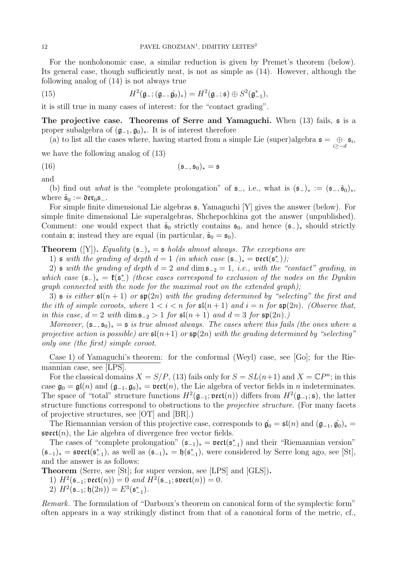For the nonholonomic case, a similar reduction is given by Premet's theorem (below). Its general case, though sufficiently neat, is not as simple as (14). However, although the following analog of (14) is not always true

(15) 
$$
H^2(\mathfrak{g}_{-}; (\mathfrak{g}_{-}, \hat{\mathfrak{g}}_0)_*) = H^2(\mathfrak{g}_{-}; \mathfrak{s}) \oplus S^2(\mathfrak{g}_{-1}^*),
$$

it is still true in many cases of interest: for the "contact grading".

The projective case. Theorems of Serre and Yamaguchi. When  $(13)$  fails,  $\frak{s}$  is a proper subalgebra of  $(\mathfrak{g}_{-1}, \mathfrak{g}_0)_*$ . It is of interest therefore

(a) to list all the cases where, having started from a simple Lie (super)algebra  $\mathfrak{s} = \bigoplus_{i \geq -d} \mathfrak{s}_i$ ,

we have the following analog of (13)

$$
(16) \qquad \qquad (\mathfrak{s}_{-},\mathfrak{s}_{0})_{*} = \mathfrak{s}
$$

and

(b) find out what is the "complete prolongation" of  $\mathfrak{s}_-,$  i.e., what is  $(\mathfrak{s}_-)_* := (\mathfrak{s}_-,\tilde{\mathfrak{s}}_0)_*,$ where  $\tilde{\mathfrak{s}}_0 := \mathfrak{der}_0 \mathfrak{s}_-.$ 

For simple finite dimensional Lie algebras s, Yamaguchi [Y] gives the answer (below). For simple finite dimensional Lie superalgebras, Shchepochkina got the answer (unpublished). Comment: one would expect that  $\tilde{\mathfrak{s}}_0$  strictly contains  $\mathfrak{s}_0$ , and hence  $(\mathfrak{s}_-)_*$  should strictly contain  $\mathfrak{s}$ ; instead they are equal (in particular,  $\tilde{\mathfrak{s}}_0 = \mathfrak{s}_0$ ).

**Theorem** ([Y]). Equality  $(\mathfrak{s}_-)_* = \mathfrak{s}$  holds almost always. The exceptions are

1)  $\mathfrak s$  with the grading of depth  $d=1$  (in which case  $(\mathfrak s_-)_* = \mathfrak{vect}(\mathfrak s^*_-))$ ;

2) s with the grading of depth  $d = 2$  and  $\dim s_{-2} = 1$ , i.e., with the "contact" grading, in which case  $(\mathfrak{s}_-)_* = \mathfrak{k}(\mathfrak{s}_-^*)$  (these cases correspond to exclusion of the nodes on the Dynkin graph connected with the node for the maximal root on the extended graph);

3) s is either  $\mathfrak{sl}(n+1)$  or  $\mathfrak{sp}(2n)$  with the grading determined by "selecting" the first and the ith of simple coroots, where  $1 < i < n$  for  $\mathfrak{sl}(n+1)$  and  $i = n$  for  $\mathfrak{sp}(2n)$ . (Observe that, in this case,  $d = 2$  with  $\dim \mathfrak{s}_{-2} > 1$  for  $\mathfrak{sl}(n+1)$  and  $d = 3$  for  $\mathfrak{sp}(2n)$ .)

Moreover,  $(\mathfrak{s}_-, \mathfrak{s}_0)_* = \mathfrak{s}$  is true almost always. The cases where this fails (the ones where a projective action is possible) are  $\mathfrak{sl}(n+1)$  or  $\mathfrak{sp}(2n)$  with the grading determined by "selecting" only one (the first) simple coroot.

Case 1) of Yamaguchi's theorem: for the conformal (Weyl) case, see [Go]; for the Riemannian case, see [LPS].

For the classical domains  $X = S/P$ , (13) fails only for  $S = SL(n+1)$  and  $X = \mathbb{C}P^n$ ; in this case  $\mathfrak{g}_0 = \mathfrak{gl}(n)$  and  $(\mathfrak{g}_{-1}, \mathfrak{g}_0)_* = \mathfrak{vect}(n)$ , the Lie algebra of vector fields in n indeterminates. The space of "total" structure functions  $H^2(\mathfrak{g}_{-1}; \mathfrak{vect}(n))$  differs from  $H^2(\mathfrak{g}_{-1}; \mathfrak{s})$ , the latter structure functions correspond to obstructions to the *projective structure*. (For many facets of projective structures, see [OT] and [BR].)

The Riemannian version of this projective case, corresponds to  $\hat{\mathfrak{g}}_0 = \mathfrak{sl}(n)$  and  $(\mathfrak{g}_{-1}, \hat{\mathfrak{g}}_0)_*$  $\mathfrak{svect}(n)$ , the Lie algebra of divergence free vector fields.

The cases of "complete prolongation"  $(\mathfrak{s}_{-1})_* = \mathfrak{vect}(\mathfrak{s}_{-1}^*)$  and their "Riemannian version"  $(\mathfrak{s}_{-1})_* = \mathfrak{svect}(\mathfrak{s}_{-1}^*)$ , as well as  $(\mathfrak{s}_{-1})_* = \mathfrak{h}(\mathfrak{s}_{-1}^*)$ , were considered by Serre long ago, see [St], and the answer is as follows:

Theorem (Serre, see [St]; for super version, see [LPS] and [GLS]).

- 1)  $H^2(\mathfrak{s}_{-1}; \mathfrak{vect}(n)) = 0$  and  $H^2(\mathfrak{s}_{-1}; \mathfrak{svect}(n)) = 0$ .
- 2)  $H^2(\mathfrak{s}_{-1}; \mathfrak{h}(2n)) = E^3(\mathfrak{s}_{-1}^*)$ .

Remark. The formulation of "Darboux's theorem on canonical form of the symplectic form" often appears in a way strikingly distinct from that of a canonical form of the metric, cf.,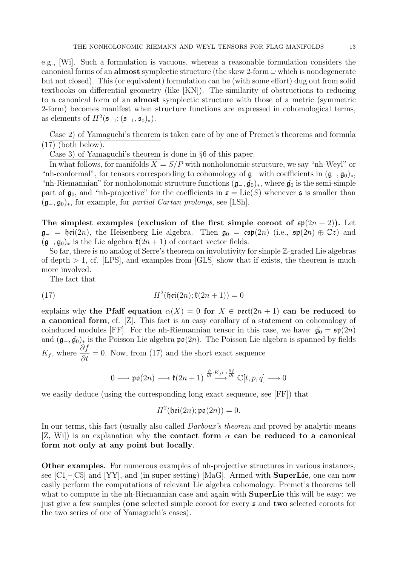e.g., [Wi]. Such a formulation is vacuous, whereas a reasonable formulation considers the canonical forms of an almost symplectic structure (the skew 2-form  $\omega$  which is nondegenerate but not closed). This (or equivalent) formulation can be (with some effort) dug out from solid textbooks on differential geometry (like [KN]). The similarity of obstructions to reducing to a canonical form of an almost symplectic structure with those of a metric (symmetric 2-form) becomes manifest when structure functions are expressed in cohomological terms, as elements of  $H^2(\mathfrak{s}_{-1}; (\mathfrak{s}_{-1}, \mathfrak{s}_{0})_*)$ .

Case 2) of Yamaguchi's theorem is taken care of by one of Premet's theorems and formula (17) (both below).

Case 3) of Yamaguchi's theorem is done in §6 of this paper.

In what follows, for manifolds  $X = S/P$  with nonholonomic structure, we say "nh-Weyl" or "nh-conformal", for tensors corresponding to cohomology of  $\mathfrak{g}_-$  with coefficients in  $(\mathfrak{g}_-,\mathfrak{g}_0)_*,$ "nh-Riemannian" for nonholonomic structure functions  $(\mathfrak{g}_-,\hat{\mathfrak{g}_0})_*$ , where  $\hat{\mathfrak{g}_0}$  is the semi-simple part of  $\mathfrak{g}_0$ , and "nh-projective" for the coefficients in  $\mathfrak{s} = \text{Lie}(S)$  whenever  $\mathfrak{s}$  is smaller than  $(\mathfrak{g}_{-}, \mathfrak{g}_{0})_{*}$ , for example, for *partial Cartan prolongs*, see [LSh].

The simplest examples (exclusion of the first simple coroot of  $\mathfrak{sp}(2n+2)$ ). Let  $\mathfrak{g}_- = \mathfrak{hei}(2n)$ , the Heisenberg Lie algebra. Then  $\mathfrak{g}_0 = \mathfrak{csp}(2n)$  (i.e.,  $\mathfrak{sp}(2n) \oplus \mathbb{C}z$ ) and  $(\mathfrak{g}_{-}, \mathfrak{g}_{0})_{*}$  is the Lie algebra  $\mathfrak{k}(2n+1)$  of contact vector fields.

So far, there is no analog of Serre's theorem on involutivity for simple Z-graded Lie algebras of depth  $> 1$ , cf. [LPS], and examples from [GLS] show that if exists, the theorem is much more involved.

The fact that

$$
(17)\qquad \qquad H^2(\mathfrak{hei}(2n); \mathfrak{k}(2n+1)) = 0
$$

explains why the Pfaff equation  $\alpha(X) = 0$  for  $X \in \text{vect}(2n + 1)$  can be reduced to a canonical form, cf. [Z]. This fact is an easy corollary of a statement on cohomology of coinduced modules [FF]. For the nh-Riemannian tensor in this case, we have:  $\hat{\mathfrak{g}}_0 = \mathfrak{sp}(2n)$ and  $(\mathfrak{g}_{-}, \hat{\mathfrak{g}}_0)_*$  is the Poisson Lie algebra  $\mathfrak{p}(\mathfrak{g}_0)$ . The Poisson Lie algebra is spanned by fields  $K_f$ , where  $\frac{\partial f}{\partial t} = 0$ . Now, from (17) and the short exact sequence

$$
0\longrightarrow \mathfrak{po}(2n)\longrightarrow \mathfrak{k}(2n+1)\overset{\frac{\partial}{\partial t}:K_f\mapsto \frac{\partial f}{\partial t}}{\longrightarrow}\mathbb{C}[t,p,q]\longrightarrow 0
$$

we easily deduce (using the corresponding long exact sequence, see [FF]) that

$$
H^2(\mathfrak{hei}(2n); \mathfrak{po}(2n)) = 0.
$$

In our terms, this fact (usually also called *Darboux's theorem* and proved by analytic means [Z, Wi]) is an explanation why the contact form  $\alpha$  can be reduced to a canonical form not only at any point but locally.

Other examples. For numerous examples of nh-projective structures in various instances, see  $\text{[C1]–[C5]}$  and  $\text{[YY]}$ , and (in super setting)  $\text{[MaG]}$ . Armed with **SuperLie**, one can now easily perform the computations of relevant Lie algebra cohomology. Premet's theorems tell what to compute in the nh-Riemannian case and again with **SuperLie** this will be easy: we just give a few samples (one selected simple coroot for every s and two selected coroots for the two series of one of Yamaguchi's cases).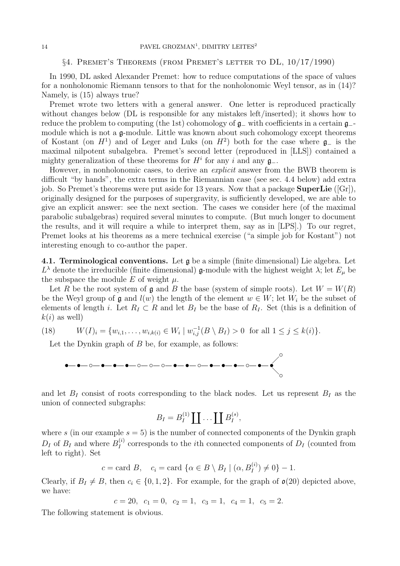### §4. Premet's Theorems (from Premet's letter to DL, 10/17/1990)

In 1990, DL asked Alexander Premet: how to reduce computations of the space of values for a nonholonomic Riemann tensors to that for the nonholonomic Weyl tensor, as in (14)? Namely, is (15) always true?

Premet wrote two letters with a general answer. One letter is reproduced practically without changes below (DL is responsible for any mistakes left/inserted); it shows how to reduce the problem to computing (the 1st) cohomology of g<sup>−</sup> with coefficients in a certain g− module which is not a  $\mathfrak{g}\text{-module}$ . Little was known about such cohomology except theorems of Kostant (on  $H<sup>1</sup>$ ) and of Leger and Luks (on  $H<sup>2</sup>$ ) both for the case where  $\mathfrak{g}_-$  is the maximal nilpotent subalgebra. Premet's second letter (reproduced in [LLS]) contained a mighty generalization of these theorems for  $H^i$  for any i and any  $\mathfrak{g}_-$ .

However, in nonholonomic cases, to derive an *explicit* answer from the BWB theorem is difficult "by hands", the extra terms in the Riemannian case (see sec. 4.4 below) add extra job. So Premet's theorems were put aside for 13 years. Now that a package **SuperLie** ([Gr]), originally designed for the purposes of supergravity, is sufficiently developed, we are able to give an explicit answer: see the next section. The cases we consider here (of the maximal parabolic subalgebras) required several minutes to compute. (But much longer to document the results, and it will require a while to interpret them, say as in [LPS].) To our regret, Premet looks at his theorems as a mere technical exercise ("a simple job for Kostant") not interesting enough to co-author the paper.

4.1. Terminological conventions. Let g be a simple (finite dimensional) Lie algebra. Let  $L^{\lambda}$  denote the irreducible (finite dimensional) **g**-module with the highest weight  $\lambda$ ; let  $E_{\mu}$  be the subspace the module E of weight  $\mu$ .

Let R be the root system of g and B the base (system of simple roots). Let  $W = W(R)$ be the Weyl group of  $\mathfrak g$  and  $l(w)$  the length of the element  $w \in W$ ; let  $W_i$  be the subset of elements of length i. Let  $R_I \subset R$  and let  $B_I$  be the base of  $R_I$ . Set (this is a definition of  $k(i)$  as well)

(18) 
$$
W(I)_i = \{w_{i,1}, \ldots, w_{i,k(i)} \in W_i \mid w_{i,j}^{-1}(B \setminus B_I) > 0 \text{ for all } 1 \leq j \leq k(i)\}.
$$

Let the Dynkin graph of  $B$  be, for example, as follows:



and let  $B_I$  consist of roots corresponding to the black nodes. Let us represent  $B_I$  as the union of connected subgraphs:

$$
B_I = B_I^{(1)} \coprod \ldots \coprod B_I^{(s)},
$$

where s (in our example  $s = 5$ ) is the number of connected components of the Dynkin graph  $D_I$  of  $B_I$  and where  $B_I^{(i)}$  $I_I^{(i)}$  corresponds to the *i*th connected components of  $D_I$  (counted from left to right). Set

$$
c = \text{card } B, \quad c_i = \text{card } \{ \alpha \in B \setminus B_I \mid (\alpha, B_I^{(i)}) \neq 0 \} - 1.
$$

Clearly, if  $B_I \neq B$ , then  $c_i \in \{0, 1, 2\}$ . For example, for the graph of  $\mathfrak{o}(20)$  depicted above, we have:

$$
c = 20
$$
,  $c_1 = 0$ ,  $c_2 = 1$ ,  $c_3 = 1$ ,  $c_4 = 1$ ,  $c_5 = 2$ .

The following statement is obvious.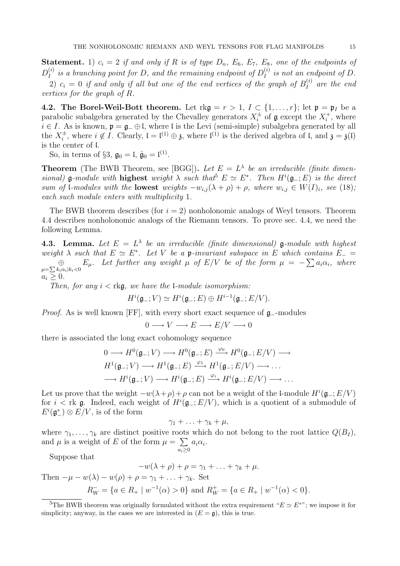**Statement.** 1)  $c_i = 2$  if and only if R is of type  $D_n$ ,  $E_6$ ,  $E_7$ ,  $E_8$ , one of the endpoints of  $D_I^{(i)}$  $I_I^{(i)}$  is a branching point for D, and the remaining endpoint of  $D_I^{(i)}$  $I_I^{(i)}$  is not an endpoint of D.

2)  $c_i = 0$  if and only if all but one of the end vertices of the graph of  $B_I^{(i)}$  $I_I^{(i)}$  are the end vertices for the graph of R.

4.2. The Borel-Weil-Bott theorem. Let  $\text{rk}\mathfrak{g} = r > 1, I \subset \{1,\ldots,r\};$  let  $\mathfrak{p} = \mathfrak{p}_I$  be a parabolic subalgebra generated by the Chevalley generators  $X_i^{\pm}$  of  $\mathfrak g$  except the  $X_i^+$ , where  $i \in I$ . As is known,  $\mathfrak{p} = \mathfrak{g}_- \oplus \mathfrak{l}$ , where  $\mathfrak{l}$  is the Levi (semi-simple) subalgebra generated by all the  $X_i^{\pm}$ , where  $i \notin I$ . Clearly,  $\mathfrak{l} = \mathfrak{l}^{(1)} \oplus \mathfrak{z}$ , where  $\mathfrak{l}^{(1)}$  is the derived algebra of  $\mathfrak{l}$ , and  $\mathfrak{z} = \mathfrak{z}(\mathfrak{l})$ is the center of l.

So, in terms of §3,  $\mathfrak{g}_0 = \mathfrak{l}, \hat{\mathfrak{g}}_0 = \mathfrak{l}^{(1)}$ .

**Theorem** (The BWB Theorem, see [BGG]). Let  $E = L^{\lambda}$  be an irreducible (finite dimensional) **g**-module with **highest** weight  $\lambda$  such that<sup>5</sup>  $E \simeq E^*$ . Then  $H^i(\mathfrak{g}_-; E)$  is the direct sum of l-modules with the **lowest** weights  $-w_{i,j}(\lambda + \rho) + \rho$ , where  $w_{i,j} \in W(I)_i$ , see (18); each such module enters with multiplicity 1.

The BWB theorem describes (for  $i = 2$ ) nonholonomic analogs of Weyl tensors. Theorem 4.4 describes nonholonomic analogs of the Riemann tensors. To prove sec. 4.4, we need the following Lemma.

**4.3. Lemma.** Let  $E = L^{\lambda}$  be an irreducible (finite dimensional) **g**-module with highest weight  $\lambda$  such that  $E \simeq E^*$ . Let V be a p-invariant subspace in E which contains  $E_{-}$  $\bigoplus_{\mu=\sum k_i\alpha_i|k_i<0} E_\mu$ . Let further any weight  $\mu$  of  $E/V$  be of the form  $\mu = -\sum a_i\alpha_i$ , where  $a_i \geq 0$ .

Then, for any  $i <$  rkg, we have the *l*-module isomorphism:

$$
H^i(\mathfrak{g}_-; V) \simeq H^i(\mathfrak{g}_-; E) \oplus H^{i-1}(\mathfrak{g}_-; E/V).
$$

*Proof.* As is well known [FF], with every short exact sequence of  $\mathfrak{g}_-$ -modules

$$
0 \longrightarrow V \longrightarrow E \longrightarrow E/V \longrightarrow 0
$$

there is associated the long exact cohomology sequence

$$
0 \longrightarrow H^{0}(\mathfrak{g}_{-}; V) \longrightarrow H^{0}(\mathfrak{g}_{-}; E) \xrightarrow{\varphi_{0}} H^{0}(\mathfrak{g}_{-}; E/V) \longrightarrow H^{1}(\mathfrak{g}_{-}; V) \longrightarrow H^{1}(\mathfrak{g}_{-}; E) \xrightarrow{\varphi_{1}} H^{1}(\mathfrak{g}_{-}; E/V) \longrightarrow \dots
$$
  

$$
\longrightarrow H^{i}(\mathfrak{g}_{-}; V) \longrightarrow H^{i}(\mathfrak{g}_{-}; E) \xrightarrow{\varphi_{i}} H^{i}(\mathfrak{g}_{-}; E/V) \longrightarrow \dots
$$

Let us prove that the weight  $-w(\lambda + \rho) + \rho$  can not be a weight of the l-module  $H^{i}(\mathfrak{g}_{-}; E/V)$ for  $i < \text{rk } \mathfrak{g}$ . Indeed, each weight of  $H^i(\mathfrak{g}_-; E/V)$ , which is a quotient of a submodule of  $E^i(\mathfrak{g}_-^*)\otimes E/V$ , is of the form

$$
\gamma_1+\ldots+\gamma_k+\mu,
$$

where  $\gamma_1, \ldots, \gamma_k$  are distinct positive roots which do not belong to the root lattice  $Q(B_I)$ , and  $\mu$  is a weight of E of the form  $\mu = \sum$  $a_i\alpha_i$ .

Suppose that

$$
-w(\lambda+\rho)+\rho=\gamma_1+\ldots+\gamma_k+\mu.
$$

Then  $-\mu - w(\lambda) - w(\rho) + \rho = \gamma_1 + \ldots + \gamma_k$ . Set  $R_W^- = \{a \in R_+ \mid w^{-1}(\alpha) > 0\}$  and  $R_W^+ = \{a \in R_+ \mid w^{-1}(\alpha) < 0\}.$ 

 $a_i \geq 0$ 

<sup>&</sup>lt;sup>5</sup>The BWB theorem was originally formulated without the extra requirement " $E \simeq E^{**}$ "; we impose it for simplicity; anyway, in the cases we are interested in  $(E = \mathfrak{g})$ , this is true.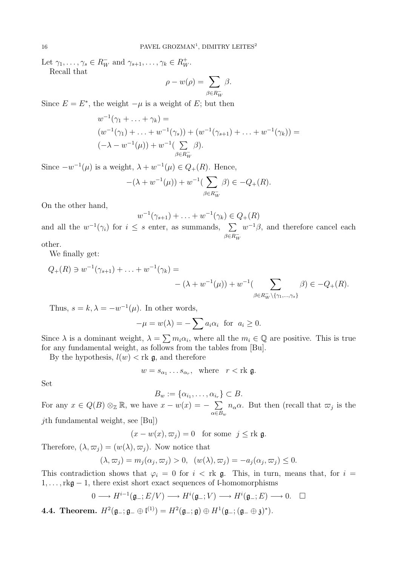Let  $\gamma_1, \ldots, \gamma_s \in R_W^+$  and  $\gamma_{s+1}, \ldots, \gamma_k \in R_W^+$ . Recall that

$$
\rho - w(\rho) = \sum_{\beta \in R_W^-} \beta.
$$

Since  $E = E^*$ , the weight  $-\mu$  is a weight of E; but then

$$
w^{-1}(\gamma_1 + \ldots + \gamma_k) =
$$
  
\n
$$
(w^{-1}(\gamma_1) + \ldots + w^{-1}(\gamma_s)) + (w^{-1}(\gamma_{s+1}) + \ldots + w^{-1}(\gamma_k)) =
$$
  
\n
$$
(-\lambda - w^{-1}(\mu)) + w^{-1}(\sum_{\beta \in R_W^-} \beta).
$$

Since  $-w^{-1}(\mu)$  is a weight,  $\lambda + w^{-1}(\mu) \in Q_+(R)$ . Hence,

$$
-(\lambda + w^{-1}(\mu)) + w^{-1}(\sum_{\beta \in R_W^-} \beta) \in -Q_+(R).
$$

On the other hand,

$$
w^{-1}(\gamma_{s+1}) + \ldots + w^{-1}(\gamma_k) \in Q_+(R)
$$

and all the  $w^{-1}(\gamma_i)$  for  $i \leq s$  enter, as summands,  $\sum$  $\beta \equiv R_W^$  $w^{-1}\beta$ , and therefore cancel each

other.

We finally get:

$$
Q_{+}(R) \ni w^{-1}(\gamma_{s+1}) + \ldots + w^{-1}(\gamma_{k}) =
$$
  
-  $(\lambda + w^{-1}(\mu)) + w^{-1}(\sum_{\beta \in R_{W}^{-} \setminus \{\gamma_{1}, \ldots, \gamma_{s}\}} \beta) \in -Q_{+}(R).$ 

Thus,  $s = k, \lambda = -w^{-1}(\mu)$ . In other words,

$$
-\mu = w(\lambda) = -\sum a_i \alpha_i \text{ for } a_i \ge 0.
$$

Since  $\lambda$  is a dominant weight,  $\lambda = \sum m_i \alpha_i$ , where all the  $m_i \in \mathbb{Q}$  are positive. This is true for any fundamental weight, as follows from the tables from [Bu].

By the hypothesis,  $l(w) < \text{rk } \mathfrak{g}$ , and therefore

$$
w = s_{\alpha_1} \dots s_{\alpha_r}, \quad \text{where} \quad r < \text{rk } \mathfrak{g}.
$$

Set

$$
B_w := \{ \alpha_{i_1}, \dots, \alpha_{i_r} \} \subset B.
$$

For any  $x \in Q(B) \otimes_{\mathbb{Z}} \mathbb{R}$ , we have  $x - w(x) = - \sum$  $\alpha \in B_w$  $n_{\alpha} \alpha$ . But then (recall that  $\varpi_j$  is the  $j$ th fundamental weight, see [Bu])

 $(x - w(x), \varpi_j) = 0$  for some  $j \leq \text{rk } \mathfrak{g}$ .

Therefore,  $(\lambda, \varpi_j) = (w(\lambda), \varpi_j)$ . Now notice that

$$
(\lambda, \varpi_j) = m_j(\alpha_j, \varpi_j) > 0, \quad (w(\lambda), \varpi_j) = -a_j(\alpha_j, \varpi_j) \leq 0.
$$

This contradiction shows that  $\varphi_i = 0$  for  $i < \text{rk } \mathfrak{g}$ . This, in turn, means that, for  $i =$ 1,. . .,rkg − 1, there exist short exact sequences of l-homomorphisms

$$
0 \longrightarrow H^{i-1}(\mathfrak{g}_{-}; E/V) \longrightarrow H^{i}(\mathfrak{g}_{-}; V) \longrightarrow H^{i}(\mathfrak{g}_{-}; E) \longrightarrow 0. \quad \Box
$$

4.4. Theorem.  $H^2(\mathfrak{g}_-;\mathfrak{g}_-\oplus \mathfrak{l}^{(1)})=H^2(\mathfrak{g}_-;\mathfrak{g})\oplus H^1(\mathfrak{g}_-;(\mathfrak{g}_-\oplus \mathfrak{z})^*).$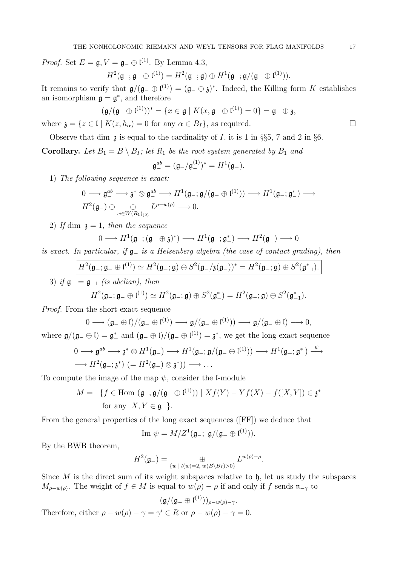*Proof.* Set  $E = \mathfrak{g}, V = \mathfrak{g}_- \oplus \mathfrak{l}^{(1)}$ . By Lemma 4.3,

$$
H^2(\mathfrak{g}_-;\mathfrak{g}_-\oplus \mathfrak{l}^{(1)})=H^2(\mathfrak{g}_-;\mathfrak{g})\oplus H^1(\mathfrak{g}_-;\mathfrak{g}/(\mathfrak{g}_-\oplus \mathfrak{l}^{(1)})).
$$

It remains to verify that  $\mathfrak{g}/(\mathfrak{g}_-\oplus \mathfrak{l}^{(1)})=(\mathfrak{g}_-\oplus \mathfrak{z})^*$ . Indeed, the Killing form K establishes an isomorphism  $\mathfrak{g} = \mathfrak{g}^*$ , and therefore

$$
(\mathfrak{g}/(\mathfrak{g}_-\oplus \mathfrak{l}^{(1)}))^*=\{x\in \mathfrak{g}\mid K(x,\mathfrak{g}_-\oplus \mathfrak{l}^{(1)})=0\}=\mathfrak{g}_-\oplus \mathfrak{z},
$$

where  $\mathfrak{z} = \{z \in \mathfrak{l} \mid K(z, h_{\alpha}) = 0 \text{ for any } \alpha \in B_I\}$ , as required.

Observe that dim  $\alpha$  is equal to the cardinality of I, it is 1 in §§5, 7 and 2 in §6.

**Corollary.** Let  $B_1 = B \setminus B_I$ ; let  $R_1$  be the root system generated by  $B_1$  and

$$
\mathfrak{g}_{-}^{ab}=(\mathfrak{g}_{-}/\mathfrak{g}_{-}^{(1)})^{\ast}=H^{1}(\mathfrak{g}_{-}).
$$

1) The following sequence is exact:

$$
\begin{array}{l}\n0 \longrightarrow \mathfrak{g}^{ab} \longrightarrow \mathfrak{z}^* \otimes \mathfrak{g}^{ab} \longrightarrow H^1(\mathfrak{g}_-;\mathfrak{g}/(\mathfrak{g}_-\oplus \mathfrak{l}^{(1)})) \longrightarrow H^1(\mathfrak{g}_-;\mathfrak{g}_-^*) \longrightarrow \\
H^2(\mathfrak{g}_-) \oplus \bigoplus_{w \in W(R_1)_{(2)}} L^{\rho-w(\rho)} \longrightarrow 0.\n\end{array}
$$

2) If dim  $\mathfrak{z} = 1$ , then the sequence

$$
0 \longrightarrow H^{1}(\mathfrak{g}_{-}; (\mathfrak{g}_{-} \oplus \mathfrak{z})^{*}) \longrightarrow H^{1}(\mathfrak{g}_{-}; \mathfrak{g}_{-}^{*}) \longrightarrow H^{2}(\mathfrak{g}_{-}) \longrightarrow 0
$$

is exact. In particular, if  $\mathfrak{g}_-$  is a Heisenberg algebra (the case of contact grading), then

$$
\frac{H^2(\mathfrak{g}_-;\mathfrak{g}_-\oplus \mathfrak{l}^{(1)})\simeq H^2(\mathfrak{g}_-;\mathfrak{g})\oplus S^2(\mathfrak{g}_-/\mathfrak{z}(\mathfrak{g}_-))^* = H^2(\mathfrak{g}_-;\mathfrak{g})\oplus S^2(\mathfrak{g}_{-1}^*).
$$
\n3) if  $\mathfrak{g}_- = \mathfrak{g}_{-1}$  (is abelian), then\n
$$
H^2(\mathfrak{g}_-;\mathfrak{g}_-\oplus \mathfrak{l}^{(1)})\simeq H^2(\mathfrak{g}_-;\mathfrak{g})\oplus S^2(\mathfrak{g}_-^*) = H^2(\mathfrak{g}_-;\mathfrak{g})\oplus S^2(\mathfrak{g}_{-1}^*).
$$

Proof. From the short exact sequence

$$
0 \longrightarrow (\mathfrak{g}_{-} \oplus \mathfrak{l})/(\mathfrak{g}_{-} \oplus \mathfrak{l}^{(1)}) \longrightarrow \mathfrak{g}/(\mathfrak{g}_{-} \oplus \mathfrak{l}^{(1)})) \longrightarrow \mathfrak{g}/(\mathfrak{g}_{-} \oplus \mathfrak{l}) \longrightarrow 0,
$$
  
where  $\mathfrak{g}/(\mathfrak{g}_{-} \oplus \mathfrak{l}) = \mathfrak{g}_{-}^{*}$  and  $(\mathfrak{g}_{-} \oplus \mathfrak{l})/(\mathfrak{g}_{-} \oplus \mathfrak{l}^{(1)}) = \mathfrak{z}^{*}$ , we get the long exact sequence

$$
0 \longrightarrow \mathfrak{g}^{ab} \longrightarrow \mathfrak{z}^* \otimes H^1(\mathfrak{g}_-) \longrightarrow H^1(\mathfrak{g}_-; \mathfrak{g}/(\mathfrak{g}_- \oplus \mathfrak{l}^{(1)})) \longrightarrow H^1(\mathfrak{g}_-; \mathfrak{g}_-^*) \xrightarrow{\psi} H^2(\mathfrak{g}_-; \mathfrak{z}^*)
$$
  

$$
\longrightarrow H^2(\mathfrak{g}_-; \mathfrak{z}^*) \ (= H^2(\mathfrak{g}_-) \otimes \mathfrak{z}^*)) \longrightarrow \dots
$$

To compute the image of the map  $\psi$ , consider the l-module

$$
M = \{ f \in \text{Hom } (\mathfrak{g}_{-}, \mathfrak{g}/(\mathfrak{g}_{-} \oplus \mathfrak{l}^{(1)})) \mid Xf(Y) - Yf(X) - f([X, Y]) \in \mathfrak{z}^* \text{ for any } X, Y \in \mathfrak{g}_{-} \}.
$$

From the general properties of the long exact sequences ([FF]) we deduce that

Im 
$$
\psi = M/Z^1(\mathfrak{g}_-; \mathfrak{g}/(\mathfrak{g}_- \oplus \mathfrak{l}^{(1)})).
$$

By the BWB theorem,

$$
H^{2}(\mathfrak{g}_{-})=\bigoplus_{\{w\;|\;l(w)=2,\;w(B\setminus B_{I})>0\}}L^{w(\rho)-\rho}.
$$

Since  $M$  is the direct sum of its weight subspaces relative to  $\mathfrak{h}$ , let us study the subspaces  $M_{\rho-w(\rho)}$ . The weight of  $f \in M$  is equal to  $w(\rho) - \rho$  if and only if f sends  $\mathfrak{n}_{-\gamma}$  to

$$
(\mathfrak{g}/(\mathfrak{g}_- \oplus \mathfrak{l}^{(1)}))_{\rho-w(\rho)-\gamma}.
$$

Therefore, either  $\rho - w(\rho) - \gamma = \gamma' \in R$  or  $\rho - w(\rho) - \gamma = 0$ .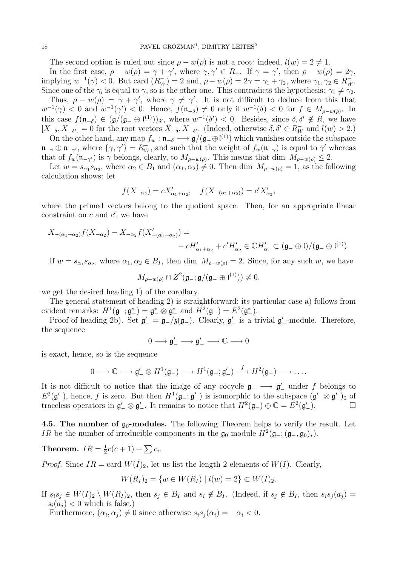The second option is ruled out since  $\rho - w(\rho)$  is not a root: indeed,  $l(w) = 2 \neq 1$ .

In the first case,  $\rho - w(\rho) = \gamma + \gamma'$ , where  $\gamma, \gamma' \in R_+$ . If  $\gamma = \gamma'$ , then  $\rho - w(\rho) = 2\gamma$ , implying  $w^{-1}(\gamma) < 0$ . But card  $(R_W^-) = 2$  and,  $\rho - w(\rho) = 2\gamma = \gamma_1 + \gamma_2$ , where  $\gamma_1, \gamma_2 \in R_W^-$ . Since one of the  $\gamma_i$  is equal to  $\gamma$ , so is the other one. This contradicts the hypothesis:  $\gamma_1 \neq \gamma_2$ .

Thus,  $\rho - w(\rho) = \gamma + \gamma'$ , where  $\gamma \neq \gamma'$ . It is not difficult to deduce from this that  $w^{-1}(\gamma) < 0$  and  $w^{-1}(\gamma') < 0$ . Hence,  $f(\mathfrak{n}_{-\delta}) \neq 0$  only if  $w^{-1}(\delta) < 0$  for  $f \in M_{\rho-w(\rho)}$ . In this case  $f(\mathfrak{n}_{-\delta}) \in (\mathfrak{g}/(\mathfrak{g}_-\oplus \mathfrak{l}^{(1)}))_{\delta},$  where  $w^{-1}(\delta') < 0$ . Besides, since  $\delta, \delta' \notin R$ , we have  $[X_{-\delta}, X_{-\delta'}] = 0$  for the root vectors  $X_{-\delta}, X_{-\delta'}$ . (Indeed, otherwise  $\delta, \delta' \in R_W^-$  and  $l(w) > 2$ .)

On the other hand, any map  $f_w : \mathfrak{n}_{-\delta} \longrightarrow \mathfrak{g}/(\mathfrak{g}_{-\theta}(\mathfrak{l}^{(1)})$  which vanishes outside the subspace  $\mathfrak{n}_{-\gamma} \oplus \mathfrak{n}_{-\gamma'}$ , where  $\{\gamma, \gamma'\}=R_W^-$ , and such that the weight of  $f_w(\mathfrak{n}_{-\gamma})$  is equal to  $\gamma'$  whereas that of  $f_w(\mathfrak{n}_{-\gamma'})$  is  $\gamma$  belongs, clearly, to  $M_{\rho-w(\rho)}$ . This means that dim  $M_{\rho-w(\rho)} \leq 2$ .

Let  $w = s_{\alpha_1} s_{\alpha_2}$ , where  $\alpha_2 \in B_1$  and  $(\alpha_1, \alpha_2) \neq 0$ . Then dim  $M_{\rho-w(\rho)} = 1$ , as the following calculation shows: let

$$
f(X_{-\alpha_2}) = cX'_{\alpha_1+\alpha_2}, \quad f(X_{-(\alpha_1+\alpha_2)}) = c'X'_{\alpha_2},
$$

where the primed vectors belong to the quotient space. Then, for an appropriate linear constraint on  $c$  and  $c'$ , we have

$$
X_{-(\alpha_1+\alpha_2)}f(X_{-\alpha_2})-X_{-\alpha_2}f(X'_{-(\alpha_1+\alpha_2)})= -cH'_{\alpha_1+\alpha_2}+c'H'_{\alpha_2}\in \mathbb{C}H'_{\alpha_1}\subset (\mathfrak{g}_-\oplus \mathfrak{l})/(\mathfrak{g}_-\oplus \mathfrak{l}^{(1)}).
$$

If  $w = s_{\alpha_1} s_{\alpha_2}$ , where  $\alpha_1, \alpha_2 \in B_I$ , then dim  $M_{\rho-w(\rho)} = 2$ . Since, for any such w, we have

$$
M_{\rho-w(\rho)} \cap Z^2(\mathfrak{g}_-;\mathfrak{g}/(\mathfrak{g}_-\oplus \mathfrak{l}^{(1)})) \neq 0,
$$

we get the desired heading 1) of the corollary.

The general statement of heading 2) is straightforward; its particular case a) follows from evident remarks:  $H^1(\mathfrak{g}_-;\mathfrak{g}_-^*)=\mathfrak{g}_-^*\otimes \mathfrak{g}_-^*$  and  $H^2(\mathfrak{g}_-)=E^2(\mathfrak{g}_-^*).$ 

Proof of heading 2b). Set  $\mathfrak{g}'_- = \mathfrak{g}_-/\mathfrak{z}(\mathfrak{g}_-)$ . Clearly,  $\mathfrak{g}'_-$  is a trivial  $\mathfrak{g}'_-$ -module. Therefore, the sequence

$$
0\longrightarrow \mathfrak{g}_-'\longrightarrow \mathfrak{g}_-'\longrightarrow \mathbb{C}\longrightarrow 0
$$

is exact, hence, so is the sequence

$$
0 \longrightarrow \mathbb{C} \longrightarrow \mathfrak{g}'_{-} \otimes H^{1}(\mathfrak{g}_{-}) \longrightarrow H^{1}(\mathfrak{g}_{-}; \mathfrak{g}'_{-}) \stackrel{f}{\longrightarrow} H^{2}(\mathfrak{g}_{-}) \longrightarrow \dots.
$$

It is not difficult to notice that the image of any cocycle  $\mathfrak{g}_- \longrightarrow \mathfrak{g}'_-$  under f belongs to  $E^2(\mathfrak{g}'_-)$ , hence, f is zero. But then  $H^1(\mathfrak{g}_-;\mathfrak{g}'_-)$  is isomorphic to the subspace  $(\mathfrak{g}'_-\otimes \mathfrak{g}'_-)_0$  of traceless operators in  $\mathfrak{g}'_-\otimes \mathfrak{g}'_-\$ . It remains to notice that  $H^2(\mathfrak{g}_-) \oplus \mathbb{C} = E^2(\mathfrak{g}'_-).$ 

4.5. The number of  $g_0$ -modules. The following Theorem helps to verify the result. Let *IR* be the number of irreducible components in the  $\mathfrak{g}_0$ -module  $H^2(\mathfrak{g}_-; (\mathfrak{g}_-,\mathfrak{g}_0)_*)$ .

Theorem.  $IR = \frac{1}{2}$  $\frac{1}{2}c(c+1) + \sum c_i.$ 

*Proof.* Since  $IR = \text{card } W(I)_2$ , let us list the length 2 elements of  $W(I)$ . Clearly,

 $W(R_I)_2 = \{w \in W(R_I) \mid l(w) = 2\} \subset W(I)_2.$ 

If  $s_i s_j \in W(I)_2 \setminus W(R_I)_2$ , then  $s_j \in B_I$  and  $s_i \notin B_I$ . (Indeed, if  $s_j \notin B_I$ , then  $s_i s_j (a_j) =$  $-s_i(a_i) < 0$  which is false.)

Furthermore,  $(\alpha_i, \alpha_j) \neq 0$  since otherwise  $s_i s_j(\alpha_i) = -\alpha_i < 0$ .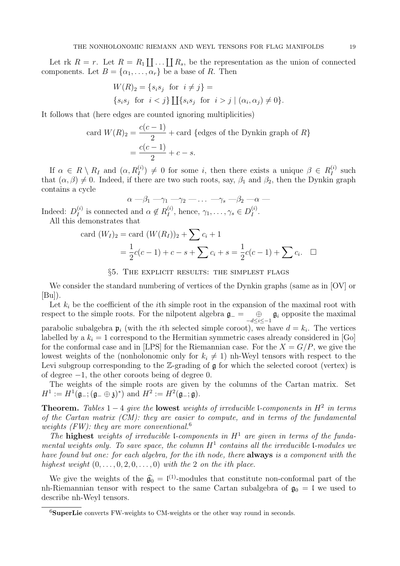Let rk  $R = r$ . Let  $R = R_1 \coprod \ldots \coprod R_s$ , be the representation as the union of connected components. Let  $B = {\alpha_1, ..., \alpha_r}$  be a base of R. Then

$$
W(R)_2 = \{s_i s_j \text{ for } i \neq j\} =
$$
  

$$
\{s_i s_j \text{ for } i < j\} \coprod \{s_i s_j \text{ for } i > j \mid (\alpha_i, \alpha_j) \neq 0\}.
$$

It follows that (here edges are counted ignoring multiplicities)

card 
$$
W(R)_2 = \frac{c(c-1)}{2} + \text{card}
$$
 {edges of the Dynkin graph of } R}  
=  $\frac{c(c-1)}{2} + c - s$ .

If  $\alpha \in R \setminus R_I$  and  $(\alpha, R_I^{(i)}) \neq 0$  for some *i*, then there exists a unique  $\beta \in R_I^{(i)}$  $I_I^{(i)}$  such that  $(\alpha, \beta) \neq 0$ . Indeed, if there are two such roots, say,  $\beta_1$  and  $\beta_2$ , then the Dynkin graph contains a cycle

$$
\alpha - \beta_1 - \gamma_1 - \gamma_2 - \dots - \gamma_s - \beta_2 - \alpha -
$$

Indeed:  $D_I^{(i)}$  $I_I^{(i)}$  is connected and  $\alpha \notin R_I^{(i)}$  $I_I^{(i)}$ , hence,  $\gamma_1, \ldots, \gamma_s \in D_I^{(i)}$  $I^{(i)}$  .

All this demonstrates that

card 
$$
(W_I)_2
$$
 = card  $(W(R_I))_2$  +  $\sum c_i$  + 1  
=  $\frac{1}{2}c(c-1) + c - s + \sum c_i + s = \frac{1}{2}c(c-1) + \sum c_i$ .  $\square$ 

§5. The explicit results: the simplest flags

We consider the standard numbering of vertices of the Dynkin graphs (same as in [OV] or  $|Bu|$ ).

Let  $k_i$  be the coefficient of the *i*th simple root in the expansion of the maximal root with respect to the simple roots. For the nilpotent algebra  $\mathfrak{g}$ <sub>-</sub>  $\oplus$   $\oplus$ <sub>-d≤i≤-1</sub>  $\mathfrak{g}_i$  opposite the maximal parabolic subalgebra  $\mathfrak{p}_i$  (with the *i*th selected simple coroot), we have  $d = k_i$ . The vertices labelled by a  $k_i = 1$  correspond to the Hermitian symmetric cases already considered in [Go] for the conformal case and in [LPS] for the Riemannian case. For the  $X = G/P$ , we give the lowest weights of the (nonholonomic only for  $k_i \neq 1$ ) nh-Weyl tensors with respect to the Levi subgroup corresponding to the  $\mathbb{Z}$ -grading of  $\mathfrak g$  for which the selected coroot (vertex) is of degree −1, the other coroots being of degree 0.

The weights of the simple roots are given by the columns of the Cartan matrix. Set  $H^1 := H^1(\mathfrak{g}_{-}; (\mathfrak{g}_{-} \oplus \mathfrak{z})^*)$  and  $H^2 := H^2(\mathfrak{g}_{-}; \mathfrak{g}).$ 

**Theorem.** Tables  $1-4$  give the **lowest** weights of irreducible *l*-components in  $H^2$  in terms of the Cartan matrix (CM): they are easier to compute, and in terms of the fundamental weights (FW): they are more conventional.<sup>6</sup>

The highest weights of irreducible *l*-components in  $H^1$  are given in terms of the fundamental weights only. To save space, the column  $H^1$  contains all the irreducible l-modules we have found but one: for each algebra, for the ith node, there **always** is a component with the highest weight  $(0,\ldots,0,2,0,\ldots,0)$  with the 2 on the ith place.

We give the weights of the  $\hat{g}_0 = l^{(1)}$ -modules that constitute non-conformal part of the nh-Riemannian tensor with respect to the same Cartan subalgebra of  $\mathfrak{g}_0 = \mathfrak{l}$  we used to describe nh-Weyl tensors.

 ${}^{6}$ SuperLie converts FW-weights to CM-weights or the other way round in seconds.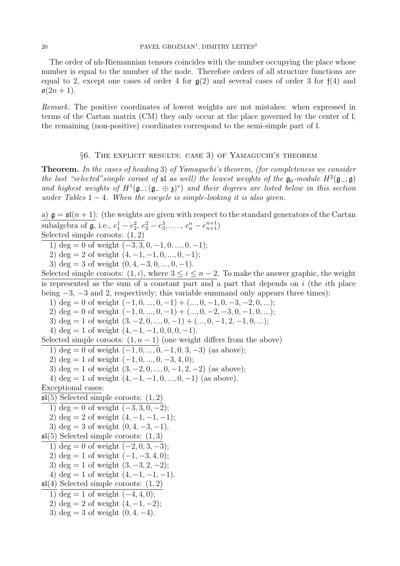The order of nh-Riemannian tensors coincides with the number occupying the place whose number is equal to the number of the node. Therefore orders of all structure functions are equal to 2, except one cases of order 4 for  $g(2)$  and several cases of order 3 for  $f(4)$  and  $\mathfrak{o}(2n+1)$ .

Remark. The positive coordinates of lowest weights are not mistakes: when expressed in terms of the Cartan matrix (CM) they only occur at the place governed by the center of l; the remaining (non-positive) coordinates correspond to the semi-simple part of l.

#### §6. The explicit results: case 3) of Yamaguchi's theorem

Theorem. In the cases of heading 3) of Yamaguchi's theorem, (for completeness we consider the last "selected" simple coroot of  $\mathfrak{sl}$  as well) the lowest weights of the  $\mathfrak{g}_0$ -module  $H^2(\mathfrak{g}_-;\mathfrak{g})$ and highest weights of  $H^1(\mathfrak{g}_-; (\mathfrak{g}_- \oplus \mathfrak{z})^*)$  and their degrees are listed below in this section under Tables  $1 - 4$ . When the cocycle is simple-looking it is also given.

a)  $\mathfrak{g} = \mathfrak{sl}(n+1)$ : (the weights are given with respect to the standard generators of the Cartan subalgebra of  $\mathfrak{g}$ , i.e.,  $e_1^1 - e_2^2$ ,  $e_2^2 - e_3^3$ , ...,  $e_n^n - e_{n+1}^{n+1}$ 

Selected simple coroots:  $(1, 2)$ 

1) deg = 0 of weight  $(-3, 3, 0, -1, 0, \ldots, 0, -1);$ 

2) deg = 2 of weight  $(4, -1, -1, 0, ..., 0, -1);$ 

3) deg = 3 of weight  $(0, 4, -3, 0, \ldots, 0, -1)$ .

Selected simple coroots:  $(1, i)$ , where  $3 \leq i \leq n-2$ . To make the answer graphic, the weight is represented as the sum of a constant part and a part that depends on  $i$  (the *i*th place being  $-3$ ,  $-3$  and 2, respectively; this variable summand only appears three times): 1) deg = 0 of weight  $(-1, 0, ..., 0, -1) + (..., 0, -1, 0, -3, -2, 0, ...)$ ; 2) deg = 0 of weight  $(-1, 0, ..., 0, -1) + (..., 0, -2, -3, 0, -1, 0, ...)$ ;

3) deg = 1 of weight  $(3, -2, 0, \ldots, 0, -1) + (\ldots, 0, -1, 2, -1, 0, \ldots);$ 

4) deg = 1 of weight  $(4, -1, -1, 0, 0, 0, -1)$ .

Selected simple coroots:  $(1, n - 1)$  (one weight differs from the above)

1) deg = 0 of weight  $(-1, 0, \ldots, 0, -1, 0, 3, -3)$  (as above);

2) deg = 1 of weight  $(-1, 0, ..., 0, -3, 4, 0)$ ;

3) deg = 1 of weight  $(3, -2, 0, \ldots, 0, -1, 2, -2)$  (as above);

4) deg = 1 of weight  $(4, -1, -1, 0, ..., 0, -1)$  (as above).

Exceptional cases:

 $\mathfrak{sl}(5)$  Selected simple coroots:  $(1, 2)$ 

 $\overline{11}$  deg = 0 of weight  $(-3, 3, 0, -2)$ ;

2) deg = 2 of weight 
$$
(4, -1, -1, -1)
$$
;

3) deg = 3 of weight  $(0, 4, -3, -1)$ .

 $\mathfrak{sl}(5)$  Selected simple coroots:  $(1,3)$ 

1) deg = 0 of weight 
$$
(-2, 0, 3, -3)
$$
;

2) deg = 1 of weight 
$$
(-1, -3, 4, 0)
$$
;

3) deg = 1 of weight  $(3, -3, 2, -2);$ 

4) deg = 1 of weight  $(4, -1, -1, -1)$ .

 $\mathfrak{sl}(4)$  Selected simple coroots:  $(1, 2)$ 

1) deg = 1 of weight  $(-4, 4, 0)$ ;

2) deg = 2 of weight  $(4, -1, -2)$ ;

3) deg = 3 of weight  $(0, 4, -4)$ .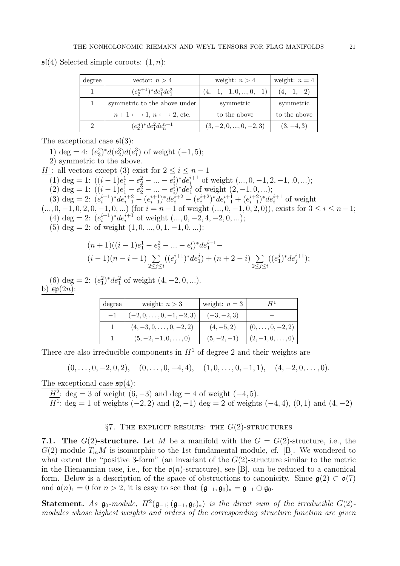$\mathfrak{sl}(4)$  Selected simple coroots:  $(1, n)$ :

| degree | vector: $n > 4$                                             | weight: $n > 4$           | weight: $n = 4$ |
|--------|-------------------------------------------------------------|---------------------------|-----------------|
|        | $(e_2^{n+1})^* de_1^2 de_1^3$                               | $(4, -1, -1, 0, , 0, -1)$ | $(4,-1,-2)$     |
|        | symmetric to the above under                                | symmetric                 | symmetric       |
|        | $n+1 \longleftrightarrow 1, n \longleftrightarrow 2$ , etc. | to the above              | to the above    |
| 2      | $(e_2^n)^* de_1^2 de_n^{n+1}$                               | $(3, -2, 0, , 0, -2, 3)$  | $(3, -4, 3)$    |

The exceptional case  $\mathfrak{sl}(3)$ :

1) deg = 4:  $(e_3^2)^* d(e_2^3) d(e_1^3)$  of weight  $(-1, 5)$ ;

2) symmetric to the above.

 $\underline{H}^1$ : all vectors except (3) exist for  $2 \leq i \leq n-1$ 

(1) deg = 1:  $((i-1)e_1^1 - e_2^2 - ... - e_i^i)^* de_i^{i+1}$  of weight  $(..., 0, -1, 2, -1, .0, ...)$ ;

(2) deg = 1:  $((i - 1)e_1^1 - e_2^2 - ... - e_i^i)^* de_1^2$  of weight  $(2, -1, 0, ...);$ 

(3) deg = 2:  $(e_i^{i+1})^* de_{i-1}^{i+2} - (e_{i-1}^{i+1})$  $(e^{i+1}_{i-1})^* de^{i+2}_i - (e^{i+2}_{i})^* de^{i+1}_{i-1} + (e^{i+2}_{i-1})$  $i_{i-1}^{i+2}$ <sup>\*</sup> $de_i^{i+1}$  of weight

 $(..., 0, -1, 0, 2, 0, -1, 0, ...)$  (for  $i = n-1$  of weight  $(..., 0, -1, 0, 2, 0)$ ), exists for  $3 \le i \le n-1$ ; (4) deg = 2:  $(e_i^{i+1})^* de_i^{i+1}$  of weight  $(..., 0, -2, 4, -2, 0, ...)$ ;

(5) deg = 2: of weight  $(1, 0, ..., 0, 1, -1, 0, ...)$ :

$$
\begin{aligned} &(n+1)((i-1)e^1_1-e^2_2-\ldots-e^i_i)^*de^{i+1}_1-\\ &(i-1)(n-i+1)\sum\limits_{2\leq j\leq i}((e^{i+1}_j)^*de^j_1)+(n+2-i)\sum\limits_{2\leq j\leq i}((e^j_1)^*de^{i+1}_j); \end{aligned}
$$

(6)  $\deg = 2$ :  $(e_1^2)^* de_1^2$  of weight  $(4, -2, 0, \ldots)$ . b)  $\mathfrak{sp}(2n)$ :

| degree | weight: $n > 3$                | weight: $n=3$ |                     |
|--------|--------------------------------|---------------|---------------------|
|        | $(-2,0,\ldots,0,-1,-2,3)$      | $(-3,-2,3)$   |                     |
|        | $(4, -3, 0, \ldots, 0, -2, 2)$ | $(4, -5, 2)$  | $(0,\ldots,0,-2,2)$ |
|        | $(5, -2, -1, 0, \ldots, 0)$    | $(5, -2, -1)$ | $(2,-1,0,\ldots,0)$ |

There are also irreducible components in  $H<sup>1</sup>$  of degree 2 and their weights are

 $(0,\ldots, 0, -2, 0, 2), (0,\ldots, 0, -4, 4), (1, 0, \ldots, 0, -1, 1), (4, -2, 0, \ldots, 0).$ 

The exceptional case  $\mathfrak{sp}(4)$ :

 $\underline{H}^2$ : deg = 3 of weight (6, -3) and deg = 4 of weight (-4, 5).

 $\underline{H}^1$ : deg = 1 of weights (-2, 2) and (2, -1) deg = 2 of weights (-4, 4), (0, 1) and (4, -2)

# §7. THE EXPLICIT RESULTS: THE  $G(2)$ -STRUCTURES

7.1. The  $G(2)$ -structure. Let M be a manifold with the  $G = G(2)$ -structure, i.e., the  $G(2)$ -module  $T_mM$  is isomorphic to the 1st fundamental module, cf. [B]. We wondered to what extent the "positive 3-form" (an invariant of the  $G(2)$ -structure similar to the metric in the Riemannian case, i.e., for the  $\mathfrak{o}(n)$ -structure), see [B], can be reduced to a canonical form. Below is a description of the space of obstructions to canonicity. Since  $\mathfrak{g}(2) \subset \mathfrak{g}(7)$ and  $\mathfrak{o}(n)_1 = 0$  for  $n > 2$ , it is easy to see that  $(\mathfrak{g}_{-1}, \mathfrak{g}_0)_* = \mathfrak{g}_{-1} \oplus \mathfrak{g}_0$ .

**Statement.** As  $\mathfrak{g}_0$ -module,  $H^2(\mathfrak{g}_{-1}; (\mathfrak{g}_{-1}, \mathfrak{g}_0)_*)$  is the direct sum of the irreducible  $G(2)$ modules whose highest weights and orders of the corresponding structure function are given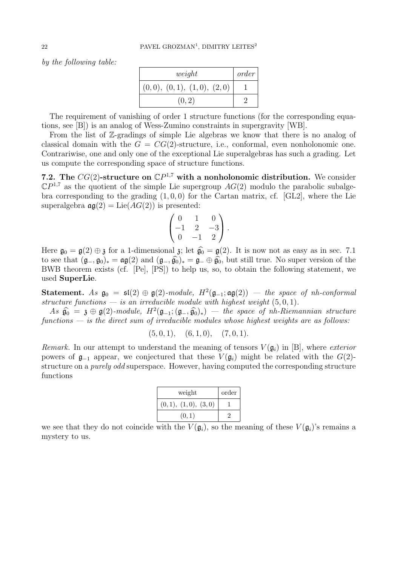by the following table:

| weight                     | order |
|----------------------------|-------|
| (0,0), (0,1), (1,0), (2,0) |       |
| (0, 2)                     |       |

The requirement of vanishing of order 1 structure functions (for the corresponding equations, see [B]) is an analog of Wess-Zumino constraints in supergravity [WB].

From the list of Z-gradings of simple Lie algebras we know that there is no analog of classical domain with the  $G = CG(2)$ -structure, i.e., conformal, even nonholonomic one. Contrariwise, one and only one of the exceptional Lie superalgebras has such a grading. Let us compute the corresponding space of structure functions.

7.2. The  $CG(2)$ -structure on  $\mathbb{C}P^{1,7}$  with a nonholonomic distribution. We consider  $\mathbb{C}P^{1,7}$  as the quotient of the simple Lie supergroup  $AG(2)$  modulo the parabolic subalgebra corresponding to the grading  $(1, 0, 0)$  for the Cartan matrix, cf. [GL2], where the Lie superalgebra  $\mathfrak{ag}(2) = \text{Lie}(AG(2))$  is presented:

$$
\begin{pmatrix} 0 & 1 & 0 \\ -1 & 2 & -3 \\ 0 & -1 & 2 \end{pmatrix}.
$$

Here  $\mathfrak{g}_0 = \mathfrak{g}(2) \oplus \mathfrak{z}$  for a 1-dimensional  $\mathfrak{z}$ ; let  $\widehat{\mathfrak{g}_0} = \mathfrak{g}(2)$ . It is now not as easy as in sec. 7.1 to see that  $(\mathfrak{g}_{-}, \mathfrak{g}_{0})_* = \mathfrak{ag}(2)$  and  $(\mathfrak{g}_{-}, \widehat{\mathfrak{g}_{0}})_* = \mathfrak{g}_{-} \oplus \widehat{\mathfrak{g}_{0}}$ , but still true. No super version of the BWB theorem exists (cf. [Pe], [PS]) to help us, so, to obtain the following statement, we used SuperLie.

Statement. As  $\mathfrak{g}_0 = \mathfrak{sl}(2) \oplus \mathfrak{g}(2)$ -module,  $H^2(\mathfrak{g}_{-1}; \mathfrak{ag}(2))$  — the space of nh-conformal structure functions — is an irreducible module with highest weight  $(5, 0, 1)$ .

 $As \hat{\mathfrak{g}}_0 = \mathfrak{z} \oplus \mathfrak{g}(2)$ -module,  $H^2(\mathfrak{g}_{-1}; (\mathfrak{g}_{-1}, \hat{\mathfrak{g}}_0)_*)$  — the space of nh-Riemannian structure functions  $-$  is the direct sum of irreducible modules whose highest weights are as follows:

$$
(5,0,1), (6,1,0), (7,0,1).
$$

Remark. In our attempt to understand the meaning of tensors  $V(\mathfrak{g}_i)$  in [B], where exterior powers of  $\mathfrak{g}_{-1}$  appear, we conjectured that these  $V(\mathfrak{g}_i)$  might be related with the  $G(2)$ structure on a purely odd superspace. However, having computed the corresponding structure functions

| weight              | order |
|---------------------|-------|
| (0,1), (1,0), (3,0) |       |
| (0,1)               |       |

we see that they do not coincide with the  $V(\mathfrak{g}_i)$ , so the meaning of these  $V(\mathfrak{g}_i)$ 's remains a mystery to us.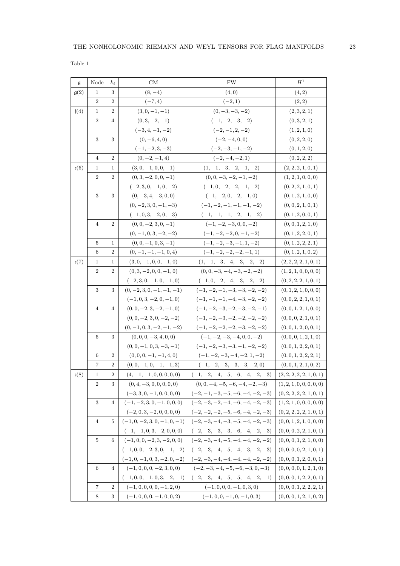Table 1

| g                 | Node           | $k_i$            | CM                             | <b>FW</b>                          | $H^1$                    |
|-------------------|----------------|------------------|--------------------------------|------------------------------------|--------------------------|
| g(2)              | 1              | 3                | $(8, -4)$                      | (4,0)                              | (4, 2)                   |
|                   | $\overline{2}$ | $\overline{2}$   | $(-7, 4)$                      | $(-2, 1)$                          | (2, 2)                   |
| f(4)              | $\mathbf{1}$   | $\overline{2}$   | $(3,0,-1,-1)$                  | $(0, -3, -3, -2)$                  | (2,3,2,1)                |
|                   | $\overline{2}$ | 4                | $(0,3,-2,-1)$                  | $(-1, -2, -3, -2)$                 | (0,3,2,1)                |
|                   |                |                  | $(-3, 4, -1, -2)$              | $(-2,-1,2,-2)$                     | (1, 2, 1, 0)             |
|                   | 3              | 3                | $(0, -6, 4, 0)$                | $(-2, -4, 0, 0)$                   | (0, 2, 2, 0)             |
|                   |                |                  | $(-1, -2, 3, -3)$              | $(-2, -3, -1, -2)$                 | (0, 1, 2, 0)             |
|                   | $\overline{4}$ | $\overline{2}$   | $(0, -2, -1, 4)$               | $(-2,-4,-2,1)$                     | (0, 2, 2, 2)             |
| $\mathfrak{e}(6)$ | $\mathbf{1}$   | 1                | $(3,0,-1,0,0,-1)$              | $(1, -1, -3, -2, -1, -2)$          | (2, 2, 2, 1, 0, 1)       |
|                   | $\overline{2}$ | $\overline{2}$   | $(0,3,-2,0,0,-1)$              | $(0, 0, -3, -2, -1, -2)$           | (1, 2, 1, 0, 0, 0)       |
|                   |                |                  | $(-2,3,0,-1,0,-2)$             | $(-1, 0, -2, -2, -1, -2)$          | (0, 2, 2, 1, 0, 1)       |
|                   | 3              | 3                | $(0, -3, 4, -3, 0, 0)$         | $(-1, -2, 0, -2, -1, 0)$           | (0, 1, 2, 1, 0, 0)       |
|                   |                |                  | $(0, -2, 3, 0, -1, -3)$        | $(-1, -2, -1, -1, -1, -2)$         | (0,0,2,1,0,1)            |
|                   |                |                  | $(-1, 0, 3, -2, 0, -3)$        | $(-1, -1, -1, -2, -1, -2)$         | (0, 1, 2, 0, 0, 1)       |
|                   | $\overline{4}$ | $\overline{2}$   | $(0, 0, -2, 3, 0, -1)$         | $(-1, -2, -3, 0, 0, -2)$           | (0, 0, 1, 2, 1, 0)       |
|                   |                |                  | $(0, -1, 0, 3, -2, -2)$        | $(-1, -2, -2, 0, -1, -2)$          | (0, 1, 2, 2, 0, 1)       |
|                   | 5              | $\mathbf{1}$     | $(0, 0, -1, 0, 3, -1)$         | $(-1, -2, -3, -1, 1, -2)$          | (0, 1, 2, 2, 2, 1)       |
|                   | 6              | $\overline{2}$   | $(0, -1, -1, -1, 0, 4)$        | $(-1, -2, -2, -2, -1, 1)$          | (0, 1, 2, 1, 0, 2)       |
| $\mathfrak{e}(7)$ | 1              | 1                | $(3,0,-1,0,0,-1,0)$            | $(1, -1, -3, -4, -3, -2, -2)$      | (2, 2, 2, 2, 1, 0, 1)    |
|                   | $\overline{2}$ | $\overline{2}$   | $(0,3,-2,0,0,-1,0)$            | $(0, 0, -3, -4, -3, -2, -2)$       | (1, 2, 1, 0, 0, 0, 0)    |
|                   |                |                  | $(-2, 3, 0, -1, 0, -1, 0)$     | $(-1, 0, -2, -4, -3, -2, -2)$      | (0, 2, 2, 2, 1, 0, 1)    |
|                   | 3              | 3                | $(0, -2, 3, 0, -1, -1, -1)$    | $(-1, -2, -1, -3, -3, -2, -2)$     | (0, 1, 2, 1, 0, 0, 0)    |
|                   |                |                  | $(-1, 0, 3, -2, 0, -1, 0)$     | $(-1, -1, -1, -4, -3, -2, -2)$     | (0,0,2,2,1,0,1)          |
|                   | $\overline{4}$ | 4                | $(0, 0, -2, 3, -2, -1, 0)$     | $(-1, -2, -3, -2, -3, -2, -1)$     | (0, 0, 1, 2, 1, 0, 0)    |
|                   |                |                  | $(0, 0, -2, 3, 0, -2, -2)$     | $(-1, -2, -3, -2, -2, -2, -2)$     | (0, 0, 0, 2, 1, 0, 1)    |
|                   |                |                  | $(0, -1, 0, 3, -2, -1, -2)$    | $(-1, -2, -2, -2, -3, -2, -2)$     | (0, 0, 1, 2, 0, 0, 1)    |
|                   | 5              | 3                | $(0, 0, 0, -3, 4, 0, 0)$       | $(-1, -2, -3, -4, 0, 0, -2)$       | (0, 0, 0, 1, 2, 1, 0)    |
|                   |                |                  | $(0, 0, -1, 0, 3, -3, -1)$     | $(-1, -2, -3, -3, -1, -2, -2)$     | (0, 0, 1, 2, 2, 0, 1)    |
|                   | 6              | $\overline{2}$   | $(0,0,0,-1,-1,4,0)$            | $(-1, -2, -3, -4, -2, 1, -2)$      | (0, 0, 1, 2, 2, 2, 1)    |
|                   | 7              | 2                | $(0, 0, -1, 0, -1, -1, 3)$     | $(-1, -2, -3, -3, -3, -2, 0)$      | (0, 0, 1, 2, 1, 0, 2)    |
| $\mathfrak{e}(8)$ | $\mathbf{1}$   | $\overline{2}$   | $(4, -1, -1, 0, 0, 0, 0, 0)$   | $(-1, -2, -4, -5, -6, -4, -2, -3)$ | (2, 2, 2, 2, 2, 1, 0, 1) |
|                   | $\overline{2}$ | 3                | $(0, 4, -3, 0, 0, 0, 0, 0)$    | $(0, 0, -4, -5, -6, -4, -2, -3)$   | (1, 2, 1, 0, 0, 0, 0, 0) |
|                   |                |                  | $(-3, 3, 0, -1, 0, 0, 0, 0)$   | $(-2, -1, -3, -5, -6, -4, -2, -3)$ | (0, 2, 2, 2, 2, 1, 0, 1) |
|                   | 3              | $\overline{4}$   | $(-1, -2, 3, 0, -1, 0, 0, 0)$  | $(-2, -3, -2, -4, -6, -4, -2, -3)$ | (1, 2, 1, 0, 0, 0, 0, 0) |
|                   |                |                  | $(-2, 0, 3, -2, 0, 0, 0, 0)$   | $(-2,-2,-2,-5,-6,-4,-2,-3)$        | (0, 2, 2, 2, 2, 1, 0, 1) |
|                   | $\overline{4}$ | 5                | $(-1, 0, -2, 3, 0, -1, 0, -1)$ | $(-2, -3, -4, -3, -5, -4, -2, -3)$ | (0, 0, 1, 2, 1, 0, 0, 0) |
|                   |                |                  | $(-1, -1, 0, 3, -2, 0, 0, 0)$  | $(-2, -3, -3, -3, -6, -4, -2, -3)$ | (0, 0, 0, 2, 2, 1, 0, 1) |
|                   | 5              | 6                | $(-1, 0, 0, -2, 3, -2, 0, 0)$  | $(-2, -3, -4, -5, -4, -4, -2, -2)$ | (0, 0, 0, 1, 2, 1, 0, 0) |
|                   |                |                  | $(-1, 0, 0, -2, 3, 0, -1, -2)$ | $(-2, -3, -4, -5, -4, -3, -2, -3)$ | (0, 0, 0, 0, 2, 1, 0, 1) |
|                   |                |                  | $(-1, 0, -1, 0, 3, -2, 0, -2)$ | $(-2,-3,-4,-4,-4,-4,-2,-2)$        | (0, 0, 0, 1, 2, 0, 0, 1) |
|                   | 6              | 4                | $(-1, 0, 0, 0, -2, 3, 0, 0)$   | $(-2, -3, -4, -5, -6, -3, 0, -3)$  | (0, 0, 0, 0, 1, 2, 1, 0) |
|                   |                |                  | $(-1, 0, 0, -1, 0, 3, -2, -1)$ | $(-2, -3, -4, -5, -5, -4, -2, -1)$ | (0, 0, 0, 1, 2, 2, 0, 1) |
|                   | $\overline{7}$ | $\boldsymbol{2}$ | $(-1, 0, 0, 0, 0, -1, 2, 0)$   | $(-1, 0, 0, 0, -1, 0, 3, 0)$       | (0, 0, 0, 1, 2, 2, 2, 1) |
|                   | 8              | 3                | $(-1, 0, 0, 0, -1, 0, 0, 2)$   | $(-1, 0, 0, -1, 0, -1, 0, 3)$      | (0,0,0,1,2,1,0,2)        |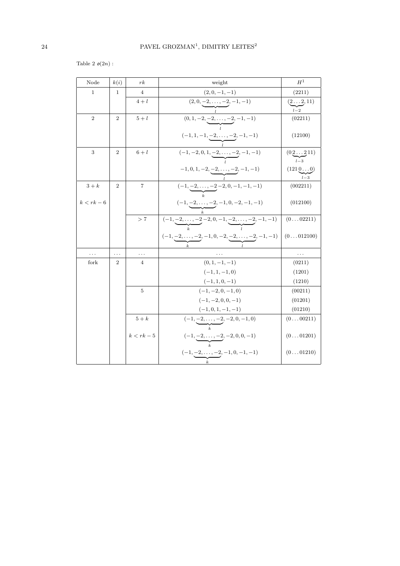Table 2  $\mathfrak{o}(2n)$  :

| Node           | k(i)           | $r$ $k$      | weight                                                                  | $H^1$              |
|----------------|----------------|--------------|-------------------------------------------------------------------------|--------------------|
| $\mathbf 1$    | 1              | 4            | $(2,0,-1,-1)$                                                           | (2211)             |
|                |                | $4+l$        | $(2,0,\underline{-2,\ldots,-2},-1,-1)$                                  | $(2 \ldots 2, 11)$ |
|                |                |              |                                                                         | $l-2$              |
| $\overline{2}$ | $\overline{2}$ | $5+l$        | $(0, 1, -2, \underbrace{-2, \ldots, -2}, -1, -1)$                       | (02211)            |
|                |                |              | $(-1, 1, -1, \underbrace{-2, \ldots, -2}, -1, -1)$                      | (12100)            |
|                |                |              |                                                                         |                    |
| 3              | $\overline{2}$ | $6+l$        | $(-1, -2, 0, 1, \underbrace{-2, \ldots, -2}, -1, -1)$                   | (02211)<br>$l-3$   |
|                |                |              | $-1, 0, 1, -2, \underline{-2, \ldots, -2}, -1, -1)$                     | (12100)            |
|                |                |              |                                                                         |                    |
| $3+k$          | $\overline{2}$ | 7            | $(-1, \underbrace{-2, \ldots, -2}_{k}, \underbrace{-2, 0, -1, -1, -1})$ | (002211)           |
| $k < rk - 6$   |                |              |                                                                         | (012100)           |
|                |                |              | $(-1, -2, \ldots, -2, -1, 0, -2, -1, -1)$                               |                    |
|                |                | >7           | $(-1, -2, \ldots, -2, -2, 0, -1, -2, \ldots, -2, -1, -1)$               | (002211)           |
|                |                |              |                                                                         |                    |
|                |                |              | $(-1, -2, \ldots, -2, -1, 0, -2, -2, \ldots, -2, -1, -1)$               | (0012100)          |
| $\ldots$       | .              | $\cdots$     |                                                                         | .                  |
| fork           | $\overline{2}$ | 4            | $(0, 1, -1, -1)$                                                        | (0211)             |
|                |                |              | $(-1, 1, -1, 0)$                                                        | (1201)             |
|                |                |              | $(-1, 1, 0, -1)$                                                        | (1210)             |
|                |                | 5            | $(-1, -2, 0, -1, 0)$                                                    | (00211)            |
|                |                |              | $(-1, -2, 0, 0, -1)$                                                    | (01201)            |
|                |                |              | $(-1, 0, 1, -1, -1)$                                                    | (01210)            |
|                |                | $5+k$        | $(-1, -2, \ldots, -2, -2, 0, -1, 0)$                                    | (000211)           |
|                |                | $k < rk - 5$ | $(-1, -2, \ldots, -2, -2, 0, 0, -1)$                                    | (001201)           |
|                |                |              |                                                                         |                    |
|                |                |              | $(-1, -2, \ldots, -2, -1, 0, -1, -1)$                                   | (001210)           |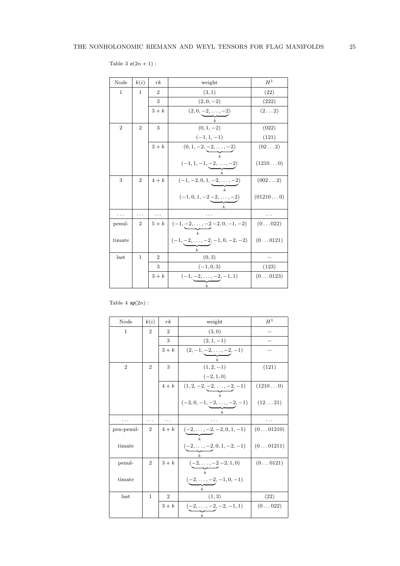| Table 3 $\mathfrak{o}(2n+1)$ : |  |  |  |
|--------------------------------|--|--|--|

| Node           | k(i)           | rk             | weight                                                    | $H^1$            |
|----------------|----------------|----------------|-----------------------------------------------------------|------------------|
| $\mathbf{1}$   | 1              | $\overline{2}$ | (3,1)                                                     | (22)             |
|                |                | 3              | $(2,0,-2)$                                                | (222)            |
|                |                | $3+k$          | $(2,0,-2,\ldots,-2)$                                      | $(2 \ldots 2)$   |
|                |                |                |                                                           |                  |
| $\overline{2}$ | $\overline{2}$ | 3              | $(0, 1, -2)$                                              | (022)            |
|                |                |                | $(-1, 1, -1)$                                             | (121)            |
|                |                | $3+k$          | $(0, 1, -2, \underline{-2, \ldots, -2})$                  | (022)            |
|                |                |                | $(-1, 1, -1, -2, \ldots, -2)$                             | (12100)          |
|                |                |                |                                                           |                  |
| 3              | $\overline{2}$ | $4+k$          | $(-1, -2, 0, 1, \underbrace{-2, \ldots, -2})$             | (0022)           |
|                |                |                |                                                           |                  |
|                |                |                | $(-1,0,1,-2-2,\ldots,-2)$<br>$\boldsymbol{k}$             | (012100)         |
|                | .              |                |                                                           |                  |
| penul-         | $\overline{2}$ | $5+k$          | $(-1, -2, \ldots, -2, -2, 0, -1, -2)$                     | $(0 \ldots 022)$ |
|                |                |                |                                                           |                  |
| timate         |                |                | $(-1, -2, \ldots, -2, -1, 0, -2, -2)$<br>$\boldsymbol{k}$ | (00121)          |
| last           | $\mathbf{1}$   | $\overline{2}$ | (0, 3)                                                    |                  |
|                |                | 3              | $(-1, 0, 3)$                                              | (123)            |
|                |                | $3+k$          | $(-1, -2, \ldots, -2, -1, 1)$                             | (00123)          |
|                |                |                | $\boldsymbol{k}$                                          |                  |

Table 4  $\mathfrak{sp}(2n)$ :

| Node           | k(i)           | rk             | weight                                            | $H^1$    |
|----------------|----------------|----------------|---------------------------------------------------|----------|
| 1              | $\overline{2}$ | $\overline{2}$ | (3,0)                                             |          |
|                |                | 3              | $(2, 1, -1)$                                      |          |
|                |                | $3+k$          | $(2, -1, -2, \ldots, -2, -1)$<br>$\boldsymbol{k}$ |          |
| $\overline{2}$ | $\overline{2}$ | 3              | $(1, 2, -1)$                                      | (121)    |
|                |                |                | $(-2, 1, 0)$                                      |          |
|                |                |                | $4+k$ $(1,2,-2,-2,\ldots,-2,-1)$                  | (12100)  |
|                |                |                |                                                   |          |
|                |                |                | $(-2,0,-1,-2,\ldots,-2,-1)$                       | (1221)   |
|                |                |                | $\boldsymbol{k}$                                  |          |
| .              | $\cdots$       | .              |                                                   |          |
| pen-penul-     | $\overline{2}$ | $4+k$          | $(-2, \ldots, -2, -2, 0, 1, -1)$                  | (001210) |
| timate         |                |                | $(-2, \ldots, -2, 0, 1, -2, -1)$                  | (001211) |
| penul-         | $\overline{2}$ | $3+k$          | $(-2, \ldots, -2, -2, 1, 0)$                      | (00121)  |
| timate         |                |                | $\mathbf{k}$<br>$(-2, \ldots, -2, -1, 0, -1)$     |          |
| last           | $\mathbf{1}$   | $\overline{2}$ | (1, 3)                                            | (22)     |
|                |                | $3+k$          | $(-2, \ldots, -2, -2, -1, 1)$<br>$\boldsymbol{k}$ | (0022)   |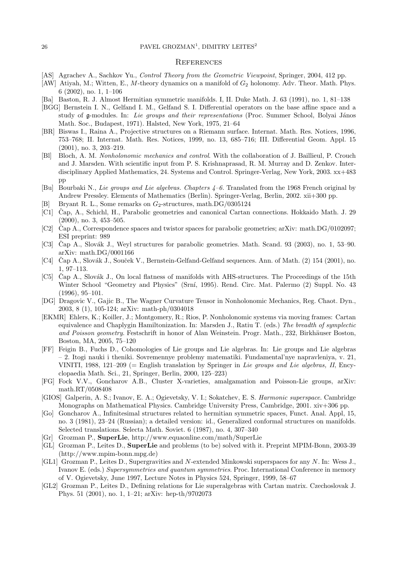#### $26$  PAVEL GROZMAN<sup>1</sup>, DIMITRY LEITES<sup>2</sup>

#### **REFERENCES**

- [AS] Agrachev A., Sachkov Yu., Control Theory from the Geometric Viewpoint, Springer, 2004, 412 pp.
- [AW] Atiyah, M.; Witten, E., M-theory dynamics on a manifold of  $G_2$  holonomy. Adv. Theor. Math. Phys. 6 (2002), no. 1, 1–106
- [Ba] Baston, R. J. Almost Hermitian symmetric manifolds. I, II. Duke Math. J. 63 (1991), no. 1, 81–138
- [BGG] Bernstein I. N., Gelfand I. M., Gelfand S. I. Differential operators on the base affine space and a study of g-modules. In: Lie groups and their representations (Proc. Summer School, Bolyai János Math. Soc., Budapest, 1971). Halsted, New York, 1975, 21–64
- [BR] Biswas I., Raina A., Projective structures on a Riemann surface. Internat. Math. Res. Notices, 1996, 753–768; II. Internat. Math. Res. Notices, 1999, no. 13, 685–716; III. Differential Geom. Appl. 15 (2001), no. 3, 203–219.
- [Bl] Bloch, A. M. Nonholonomic mechanics and control. With the collaboration of J. Baillieul, P. Crouch and J. Marsden. With scientific input from P. S. Krishnaprasad, R. M. Murray and D. Zenkov. Interdisciplinary Applied Mathematics, 24. Systems and Control. Springer-Verlag, New York, 2003. xx+483 pp
- [Bu] Bourbaki N., Lie groups and Lie algebras. Chapters 4–6. Translated from the 1968 French original by Andrew Pressley. Elements of Mathematics (Berlin). Springer-Verlag, Berlin, 2002. xii+300 pp.
- [B] Bryant R. L., Some remarks on  $G_2$ -structures, math.DG/0305124
- [C1] Čap, A., Schichl, H., Parabolic geometries and canonical Cartan connections. Hokkaido Math. J. 29 (2000), no. 3, 453–505.
- [C2] Cap A., Correspondence spaces and twistor spaces for parabolic geometries; arXiv: math.DG/0102097; ESI preprint: 989
- [C3] Cap A., Slovák J., Weyl structures for parabolic geometries. Math. Scand.  $93$  (2003), no. 1, 53–90. arXiv: math.DG/0001166
- [C4] Čap A., Slovák J., Souček V., Bernstein-Gelfand-Gelfand sequences. Ann. of Math. (2) 154 (2001), no. 1, 97–113.
- [C5] Cap A., Slovák J., On local flatness of manifolds with AHS-structures. The Proceedings of the 15th Winter School "Geometry and Physics" (Srní, 1995). Rend. Circ. Mat. Palermo (2) Suppl. No. 43 (1996), 95–101.
- [DG] Dragovic V., Gajic B., The Wagner Curvature Tensor in Nonholonomic Mechanics, Reg. Chaot. Dyn., 2003, 8 (1), 105-124; arXiv: math-ph/0304018
- [EKMR] Ehlers, K.; Koiller, J.; Montgomery, R.; Rios, P. Nonholonomic systems via moving frames: Cartan equivalence and Chaplygin Hamiltonization. In: Marsden J., Ratiu T. (eds.) The breadth of symplectic and Poisson geometry. Festschrift in honor of Alan Weinstein. Progr. Math., 232, Birkhäuser Boston, Boston, MA, 2005, 75–120
- [FF] Feigin B., Fuchs D., Cohomologies of Lie groups and Lie algebras. In: Lie groups and Lie algebras – 2. Itogi nauki i theniki. Sovremennye problemy matematiki. Fundamental'nye napravleniya, v. 21, VINITI, 1988, 121–209 (= English translation by Springer in Lie groups and Lie algebras, II, Encyclopaedia Math. Sci., 21, Springer, Berlin, 2000, 125–223)
- [FG] Fock V.V., Goncharov A.B., Cluster X-varieties, amalgamation and Poisson-Lie groups, arXiv: math.RT/0508408
- [GIOS] Galperin, A. S.; Ivanov, E. A.; Ogievetsky, V. I.; Sokatchev, E. S. Harmonic superspace. Cambridge Monographs on Mathematical Physics. Cambridge University Press, Cambridge, 2001. xiv+306 pp.
- [Go] Goncharov A., Infinitesimal structures related to hermitian symmetric spaces, Funct. Anal. Appl, 15, no. 3 (1981), 23–24 (Russian); a detailed version: id., Generalized conformal structures on manifolds. Selected translations. Selecta Math. Soviet. 6 (1987), no. 4, 307–340
- [Gr] Grozman P., SuperLie, http://www.equaonline.com/math/SuperLie
- [GL] Grozman P., Leites D., SuperLie and problems (to be) solved with it. Preprint MPIM-Bonn, 2003-39 (http://www.mpim-bonn.mpg.de)
- [GL1] Grozman P., Leites D., Supergravities and N-extended Minkowski superspaces for any N. In: Wess J., Ivanov E. (eds.) Supersymmetries and quantum symmetries. Proc. International Conference in memory of V. Ogievetsky, June 1997, Lecture Notes in Physics 524, Springer, 1999, 58–67
- [GL2] Grozman P., Leites D., Defining relations for Lie superalgebras with Cartan matrix. Czechoslovak J. Phys. 51 (2001), no. 1, 1–21; arXiv: hep-th/9702073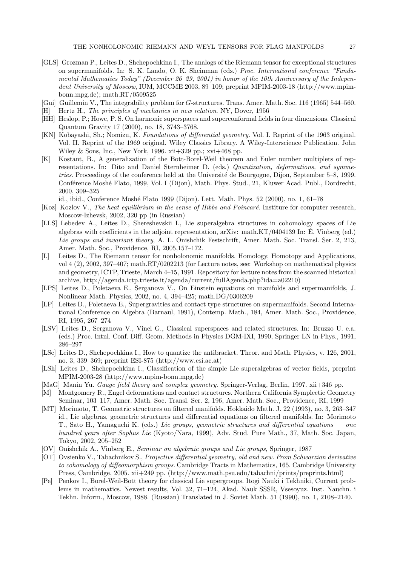- [GLS] Grozman P., Leites D., Shchepochkina I., The analogs of the Riemann tensor for exceptional structures on supermanifolds. In: S. K. Lando, O. K. Sheinman (eds.) Proc. International conference "Fundamental Mathematics Today" (December 26–29, 2001) in honor of the 10th Anniversary of the Independent University of Moscow, IUM, MCCME 2003, 89-109; preprint MPIM-2003-18 (http://www.mpimbonn.mpg.de); math.RT/0509525
- [Gui] Guillemin V., The integrability problem for G-structures. Trans. Amer. Math. Soc. 116 (1965) 544–560.
- Hertz H., The principles of mechanics in new relation. NY, Dover, 1956
- [HH] Heslop, P.; Howe, P. S. On harmonic superspaces and superconformal fields in four dimensions. Classical Quantum Gravity 17 (2000), no. 18, 3743–3768.
- [KN] Kobayashi, Sh.; Nomizu, K. Foundations of differential geometry. Vol. I. Reprint of the 1963 original. Vol. II. Reprint of the 1969 original. Wiley Classics Library. A Wiley-Interscience Publication. John Wiley & Sons, Inc., New York, 1996. xii+329 pp.; xvi+468 pp.
- [K] Kostant, B., A generalization of the Bott-Borel-Weil theorem and Euler number multiplets of representations. In: Dito and Daniel Sternheimer D. (eds.) Quantization, deformations, and symmetries. Proceedings of the conference held at the Université de Bourgogne, Dijon, September 5–8, 1999. Conférence Moshé Flato, 1999, Vol. I (Dijon), Math. Phys. Stud., 21, Kluwer Acad. Publ., Dordrecht, 2000, 309–325

id., ibid., Conference Moshé Flato 1999 (Dijon). Lett. Math. Phys. 52 (2000), no. 1, 61–78

- [Koz] Kozlov V., The heat equilibrium in the sense of Hibbs and Poincaré. Institure for computer research, Moscow-Izhevsk, 2002, 320 pp (in Russian)
- [LLS] Lebedev A., Leites D., Shereshevskii I., Lie superalgebra structures in cohomology spaces of Lie algebras with coefficients in the adjoint representation, arXiv: math.KT/0404139 In: E. Vinberg (ed.) ´ Lie groups and invariant theory, A. L. Onishchik Festschrift, Amer. Math. Soc. Transl. Ser. 2, 213, Amer. Math. Soc., Providence, RI, 2005,157–172.
- [L] Leites D., The Riemann tensor for nonholonomic manifolds. Homology, Homotopy and Applications, vol 4 (2), 2002, 397–407; math.RT/0202213 (for Lecture notes, see: Workshop on mathematical physics and geometry, ICTP, Trieste, March 4–15, 1991. Repository for lecture notes from the scanned historical archive, http://agenda.ictp.trieste.it/agenda/current/fullAgenda.php?ida=a02210)
- [LPS] Leites D., Poletaeva E., Serganova V., On Einstein equations on manifolds and supermanifolds, J. Nonlinear Math. Physics, 2002, no. 4, 394–425; math.DG/0306209
- [LP] Leites D., Poletaeva E., Supergravities and contact type structures on supermanifolds. Second International Conference on Algebra (Barnaul, 1991), Contemp. Math., 184, Amer. Math. Soc., Providence, RI, 1995, 267–274
- [LSV] Leites D., Serganova V., Vinel G., Classical superspaces and related structures. In: Bruzzo U. e.a. (eds.) Proc. Intnl. Conf. Diff. Geom. Methods in Physics DGM-IXI, 1990, Springer LN in Phys., 1991, 286–297
- [LSc] Leites D., Shchepochkina I., How to quantize the antibracket. Theor. and Math. Physics, v. 126, 2001, no. 3, 339–369; preprint ESI-875 (http://www.esi.ac.at)
- [LSh] Leites D., Shchepochkina I., Classification of the simple Lie superalgebras of vector fields, preprint MPIM-2003-28 (http://www.mpim-bonn.mpg.de)
- [MaG] Manin Yu. Gauge field theory and complex geometry. Springer-Verlag, Berlin, 1997. xii+346 pp.
- [M] Montgomery R., Engel deformations and contact structures. Northern California Symplectic Geometry Seminar, 103–117, Amer. Math. Soc. Transl. Ser. 2, 196, Amer. Math. Soc., Providence, RI, 1999
- [MT] Morimoto, T. Geometric structures on filtered manifolds. Hokkaido Math. J. 22 (1993), no. 3, 263–347 id., Lie algebras, geometric structures and differential equations on filtered manifolds. In: Morimoto T., Sato H., Yamaguchi K. (eds.) Lie groups, geometric structures and differential equations — one hundred years after Sophus Lie (Kyoto/Nara, 1999), Adv. Stud. Pure Math., 37, Math. Soc. Japan, Tokyo, 2002, 205–252
- [OV] Onishchik A., Vinberg E., Seminar on algebraic groups and Lie groups, Springer, 1987
- [OT] Ovsienko V., Tabachnikov S., Projective differential geometry, old and new. From Schwarzian derivative to cohomology of diffeomorphism groups. Cambridge Tracts in Mathematics, 165. Cambridge University Press, Cambridge, 2005. xii+249 pp. (http://www.math.psu.edu/tabachni/prints/preprints.html)
- [Pe] Penkov I., Borel-Weil-Bott theory for classical Lie supergroups. Itogi Nauki i Tekhniki, Current problems in mathematics. Newest results, Vol. 32, 71–124, Akad. Nauk SSSR, Vsesoyuz. Inst. Nauchn. i Tekhn. Inform., Moscow, 1988. (Russian) Translated in J. Soviet Math. 51 (1990), no. 1, 2108–2140.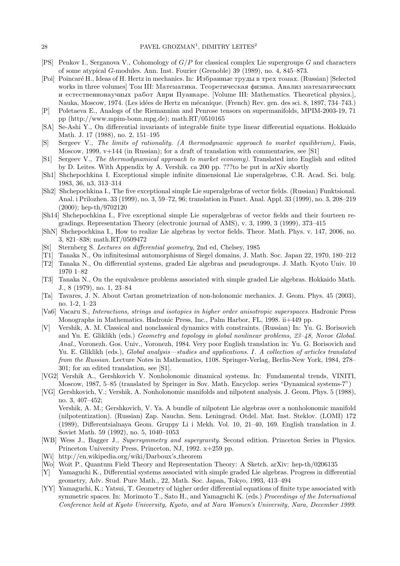- [PS] Penkov I., Serganova V., Cohomology of G/P for classical complex Lie supergroups G and characters of some atypical G-modules. Ann. Inst. Fourier (Grenoble) 39 (1989), no. 4, 845–873.
- [Poi] Poincaré H., Ideas of H. Hertz in mechanics. In: Избранные труды в трех томах. (Russian) [Selected works in three volumes Tom III: Математика. Теоретическая физика. Анализ математических и естественнонаучных работ Анри Пуанкаре. [Volume III: Mathematics. Theoretical physics.], Nauka, Moscow, 1974. (Les idées de Hertz en mécanique. (French) Rev. gen. des sci. 8, 1897, 734–743.)
- [P] Poletaeva E., Analogs of the Riemannian and Penrose tensors on supermanifolds, MPIM-2003-19, 71 pp (http://www.mpim-bonn.mpg.de); math.RT/0510165
- [SA] Se-Ashi Y., On differential invariants of integrable finite type linear differential equations. Hokkaido Math. J. 17 (1988), no. 2, 151–195
- [S] Sergeev V., The limits of rationality. (A thermodynamic approach to market equilibrium), Fasis, Moscow, 1999,  $v+144$  (in Russian); for a draft of translation with commentaries, see [S1]
- [S1] Sergeev V., The thermodynamical approach to market economy). Translated into English and edited by D. Leites. With Appendix by A. Vershik. ca 200 pp. ???to be put in arXiv shortly
- [Sh1] Shchepochkina I. Exceptional simple infinite dimensional Lie superalgebras, C.R. Acad. Sci. bulg. 1983, 36, n3, 313–314
- [Sh2] Shchepochkina I., The five exceptional simple Lie superalgebras of vector fields. (Russian) Funktsional. Anal. i Prilozhen. 33 (1999), no. 3, 59–72, 96; translation in Funct. Anal. Appl. 33 (1999), no. 3, 208–219 (2000); hep-th/9702120
- [Sh14] Shchepochkina I., Five exceptional simple Lie superalgebras of vector fields and their fourteen regradings. Representation Theory (electronic journal of AMS), v. 3, 1999, 3 (1999), 373–415
- [ShN] Shchepochkina I., How to realize Lie algebras by vector fields. Theor. Math. Phys. v. 147, 2006, no. 3, 821–838; math.RT/0509472
- [St] Sternberg S. Lectures on differential geometry, 2nd ed, Chelsey, 1985
- [T1] Tanaka N., On infinitesimal automorphisms of Siegel domains, J. Math. Soc. Japan 22, 1970, 180–212
- [T2] Tanaka N., On differential systems, graded Lie algebras and pseudogroups. J. Math. Kyoto Univ. 10 1970 1–82
- [T3] Tanaka N., On the equivalence problems associated with simple graded Lie algebras. Hokkaido Math. J., 8 (1979), no. 1, 23–84
- [Ta] Tavares, J. N. About Cartan geometrization of non-holonomic mechanics. J. Geom. Phys. 45 (2003), no. 1-2, 1–23
- [Va6] Vacaru S., Interactions, strings and isotopies in higher order anisotropic superspaces. Hadronic Press Monographs in Mathematics. Hadronic Press, Inc., Palm Harbor, FL, 1998. ii+449 pp.
- [V] Vershik, A. M. Classical and nonclassical dynamics with constraints. (Russian) In: Yu. G. Borisovich and Yu. E. Gliklikh (eds.) Geometry and topology in global nonlinear problems, 23–48, Novoe Global. Anal., Voronezh. Gos. Univ., Voronezh, 1984. Very poor English translation in: Yu. G. Borisovich and Yu. E. Gliklikh (eds.), *Global analysis—studies and applications. I. A collection of articles translated* from the Russian. Lecture Notes in Mathematics, 1108. Springer-Verlag, Berlin-New York, 1984, 278– 301; for an edited translation, see [S1].
- [VG2] Vershik A., Gershkovich V. Nonholonomic dinamical systems. In: Fundamental trends, VINITI, Moscow, 1987, 5–85 (translated by Springer in Sov. Math. Encyclop. series "Dynamical systems-7")
- [VG] Gershkovich, V.; Vershik, A. Nonholonomic manifolds and nilpotent analysis. J. Geom. Phys. 5 (1988), no. 3, 407–452; Vershik, A. M.; Gershkovich, V. Ya. A bundle of nilpotent Lie algebras over a nonholonomic manifold (nilpotentization). (Russian) Zap. Nauchn. Sem. Leningrad. Otdel. Mat. Inst. Steklov. (LOMI) 172 (1989), Differentsialnaya Geom. Gruppy Li i Mekh. Vol. 10, 21–40, 169. English translation in J. Soviet Math. 59 (1992), no. 5, 1040–1053
- [WB] Wess J., Bagger J., Supersymmetry and supergravity. Second edition. Princeton Series in Physics. Princeton University Press, Princeton, NJ, 1992. x+259 pp.
- [Wi] http://en.wikipedia.org/wiki/Darboux's theorem
- [Wo] Woit P., Quantum Field Theory and Representation Theory: A Sketch. arXiv: hep-th/0206135
- [Y] Yamaguchi K., Differential systems associated with simple graded Lie algebras. Progress in differential geometry, Adv. Stud. Pure Math., 22, Math. Soc. Japan, Tokyo, 1993, 413–494
- [YY] Yamaguchi, K.; Yatsui, T. Geometry of higher order differential equations of finite type associated with symmetric spaces. In: Morimoto T., Sato H., and Yamaguchi K. (eds.) Proceedings of the International Conference held at Kyoto University, Kyoto, and at Nara Women's University, Nara, December 1999.